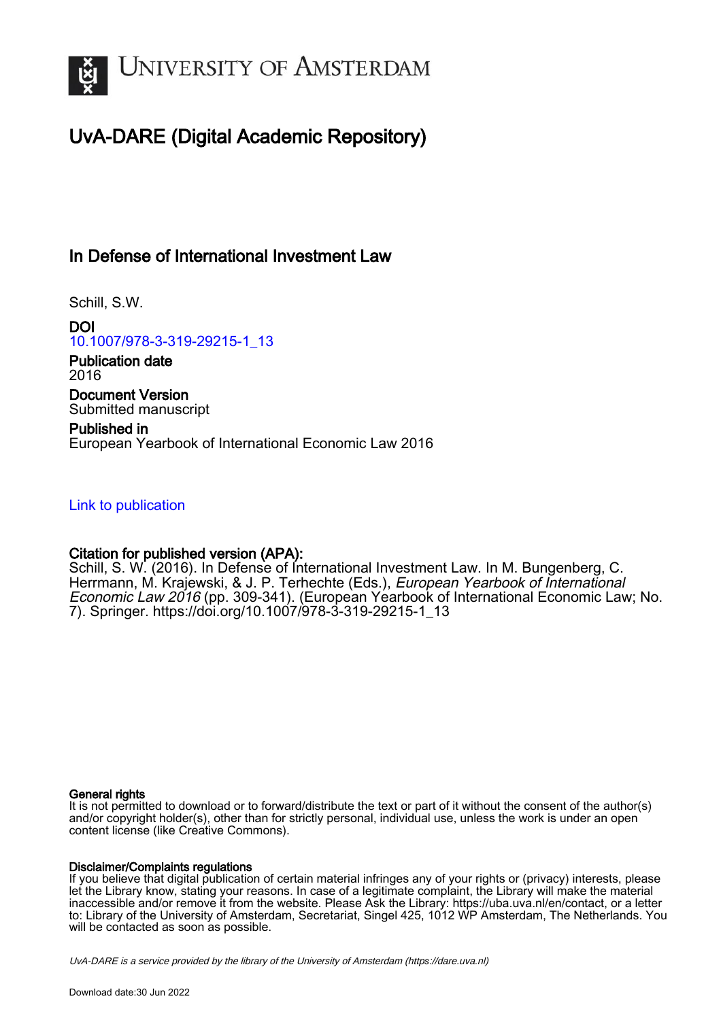

# UvA-DARE (Digital Academic Repository)

# In Defense of International Investment Law

Schill, S.W.

DOI [10.1007/978-3-319-29215-1\\_13](https://doi.org/10.1007/978-3-319-29215-1_13)

Publication date 2016 Document Version

Submitted manuscript

Published in European Yearbook of International Economic Law 2016

#### [Link to publication](https://dare.uva.nl/personal/pure/en/publications/in-defense-of-international-investment-law(d07ff845-36f9-41f1-a1a3-8d81180d4406).html)

#### Citation for published version (APA):

Schill, S. W. (2016). In Defense of International Investment Law. In M. Bungenberg, C. Herrmann, M. Krajewski, & J. P. Terhechte (Eds.), *European Yearbook of International* Economic Law 2016 (pp. 309-341). (European Yearbook of International Economic Law; No. 7). Springer. [https://doi.org/10.1007/978-3-319-29215-1\\_13](https://doi.org/10.1007/978-3-319-29215-1_13)

#### General rights

It is not permitted to download or to forward/distribute the text or part of it without the consent of the author(s) and/or copyright holder(s), other than for strictly personal, individual use, unless the work is under an open content license (like Creative Commons).

#### Disclaimer/Complaints regulations

If you believe that digital publication of certain material infringes any of your rights or (privacy) interests, please let the Library know, stating your reasons. In case of a legitimate complaint, the Library will make the material inaccessible and/or remove it from the website. Please Ask the Library: https://uba.uva.nl/en/contact, or a letter to: Library of the University of Amsterdam, Secretariat, Singel 425, 1012 WP Amsterdam, The Netherlands. You will be contacted as soon as possible.

UvA-DARE is a service provided by the library of the University of Amsterdam (http*s*://dare.uva.nl)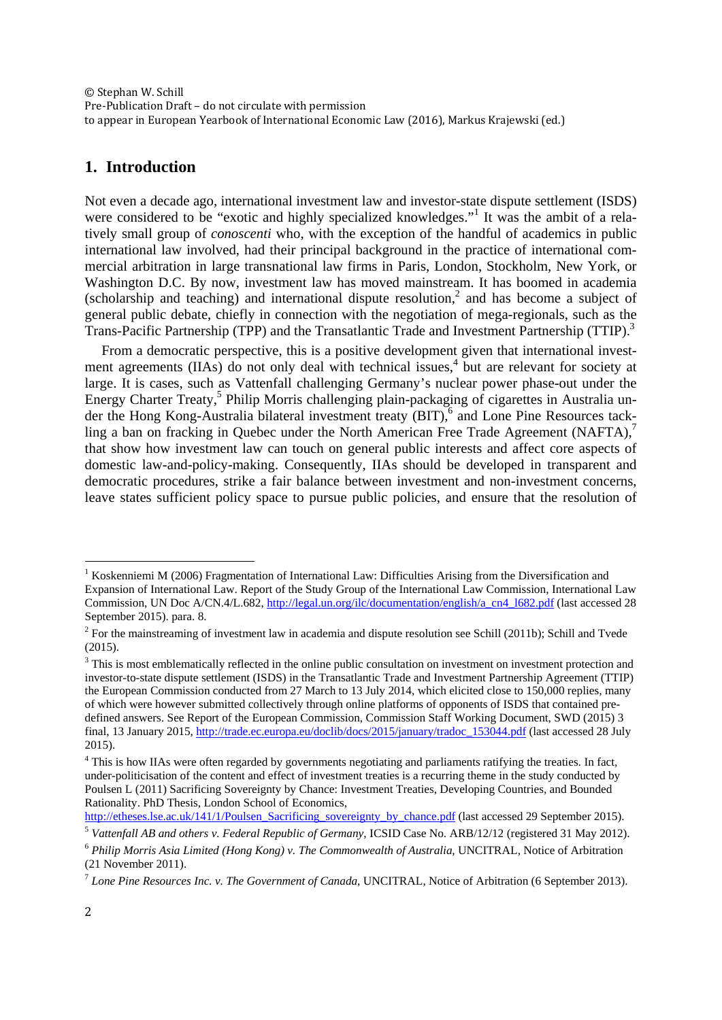### **1. Introduction**

 

Not even a decade ago, international investment law and investor-state dispute settlement (ISDS) were considered to be "exotic and highly specialized knowledges."<sup>1</sup> It was the ambit of a relatively small group of *conoscenti* who, with the exception of the handful of academics in public international law involved, had their principal background in the practice of international commercial arbitration in large transnational law firms in Paris, London, Stockholm, New York, or Washington D.C. By now, investment law has moved mainstream. It has boomed in academia  $(scholarship and teaching)$  and international dispute resolution,<sup>2</sup> and has become a subject of general public debate, chiefly in connection with the negotiation of mega-regionals, such as the Trans-Pacific Partnership (TPP) and the Transatlantic Trade and Investment Partnership (TTIP).<sup>3</sup>

From a democratic perspective, this is a positive development given that international investment agreements (IIAs) do not only deal with technical issues,<sup>4</sup> but are relevant for society at large. It is cases, such as Vattenfall challenging Germany's nuclear power phase-out under the Energy Charter Treaty,<sup>5</sup> Philip Morris challenging plain-packaging of cigarettes in Australia under the Hong Kong-Australia bilateral investment treaty (BIT),<sup>6</sup> and Lone Pine Resources tackling a ban on fracking in Quebec under the North American Free Trade Agreement  $(NAFTA)$ , that show how investment law can touch on general public interests and affect core aspects of domestic law-and-policy-making. Consequently, IIAs should be developed in transparent and democratic procedures, strike a fair balance between investment and non-investment concerns, leave states sufficient policy space to pursue public policies, and ensure that the resolution of

<sup>&</sup>lt;sup>1</sup> Koskenniemi M (2006) Fragmentation of International Law: Difficulties Arising from the Diversification and Expansion of International Law. Report of the Study Group of the International Law Commission, International Law Commission, UN Doc A/CN.4/L.682, http://legal.un.org/ilc/documentation/english/a\_cn4\_l682.pdf (last accessed 28 September 2015). para. 8.

 $2^2$  For the mainstreaming of investment law in academia and dispute resolution see Schill (2011b); Schill and Tvede (2015).

 $3$  This is most emblematically reflected in the online public consultation on investment on investment protection and investor-to-state dispute settlement (ISDS) in the Transatlantic Trade and Investment Partnership Agreement (TTIP) the European Commission conducted from 27 March to 13 July 2014, which elicited close to 150,000 replies, many of which were however submitted collectively through online platforms of opponents of ISDS that contained predefined answers. See Report of the European Commission, Commission Staff Working Document, SWD (2015) 3 final, 13 January 2015, http://trade.ec.europa.eu/doclib/docs/2015/january/tradoc\_153044.pdf (last accessed 28 July 2015).

<sup>&</sup>lt;sup>4</sup> This is how IIAs were often regarded by governments negotiating and parliaments ratifying the treaties. In fact, under-politicisation of the content and effect of investment treaties is a recurring theme in the study conducted by Poulsen L (2011) Sacrificing Sovereignty by Chance: Investment Treaties, Developing Countries, and Bounded Rationality. PhD Thesis, London School of Economics,

http://etheses.lse.ac.uk/141/1/Poulsen Sacrificing sovereignty by chance.pdf (last accessed 29 September 2015).<br>
<sup>5</sup> Vattenfall AB and others v. Federal Republic of Germany, ICSID Case No. ARB/12/12 (registered 31 May 2012

<sup>(21</sup> November 2011).

<sup>7</sup> *Lone Pine Resources Inc. v. The Government of Canada*, UNCITRAL, Notice of Arbitration (6 September 2013).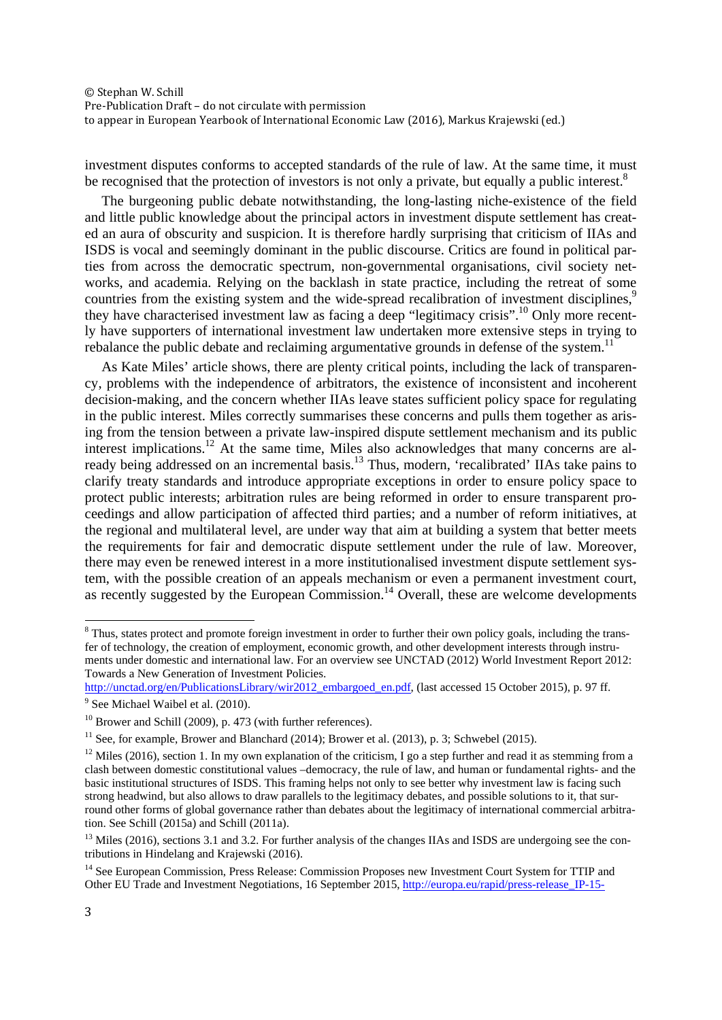investment disputes conforms to accepted standards of the rule of law. At the same time, it must be recognised that the protection of investors is not only a private, but equally a public interest.<sup>8</sup>

The burgeoning public debate notwithstanding, the long-lasting niche-existence of the field and little public knowledge about the principal actors in investment dispute settlement has created an aura of obscurity and suspicion. It is therefore hardly surprising that criticism of IIAs and ISDS is vocal and seemingly dominant in the public discourse. Critics are found in political parties from across the democratic spectrum, non-governmental organisations, civil society networks, and academia. Relying on the backlash in state practice, including the retreat of some countries from the existing system and the wide-spread recalibration of investment disciplines,<sup>9</sup> they have characterised investment law as facing a deep "legitimacy crisis".<sup>10</sup> Only more recently have supporters of international investment law undertaken more extensive steps in trying to rebalance the public debate and reclaiming argumentative grounds in defense of the system.<sup>11</sup>

As Kate Miles' article shows, there are plenty critical points, including the lack of transparency, problems with the independence of arbitrators, the existence of inconsistent and incoherent decision-making, and the concern whether IIAs leave states sufficient policy space for regulating in the public interest. Miles correctly summarises these concerns and pulls them together as arising from the tension between a private law-inspired dispute settlement mechanism and its public interest implications.12 At the same time, Miles also acknowledges that many concerns are already being addressed on an incremental basis.<sup>13</sup> Thus, modern, 'recalibrated' IIAs take pains to clarify treaty standards and introduce appropriate exceptions in order to ensure policy space to protect public interests; arbitration rules are being reformed in order to ensure transparent proceedings and allow participation of affected third parties; and a number of reform initiatives, at the regional and multilateral level, are under way that aim at building a system that better meets the requirements for fair and democratic dispute settlement under the rule of law. Moreover, there may even be renewed interest in a more institutionalised investment dispute settlement system, with the possible creation of an appeals mechanism or even a permanent investment court, as recently suggested by the European Commission.<sup>14</sup> Overall, these are welcome developments

http://unctad.org/en/PublicationsLibrary/wir2012\_embargoed\_en.pdf, (last accessed 15 October 2015), p. 97 ff.

 $8$  Thus, states protect and promote foreign investment in order to further their own policy goals, including the transfer of technology, the creation of employment, economic growth, and other development interests through instruments under domestic and international law. For an overview see UNCTAD (2012) World Investment Report 2012: Towards a New Generation of Investment Policies.

 $9$  See Michael Waibel et al. (2010).

<sup>&</sup>lt;sup>10</sup> Brower and Schill (2009), p. 473 (with further references).

<sup>&</sup>lt;sup>11</sup> See, for example, Brower and Blanchard (2014); Brower et al. (2013), p. 3; Schwebel (2015).

<sup>&</sup>lt;sup>12</sup> Miles (2016), section 1. In my own explanation of the criticism, I go a step further and read it as stemming from a clash between domestic constitutional values –democracy, the rule of law, and human or fundamental rights- and the basic institutional structures of ISDS. This framing helps not only to see better why investment law is facing such strong headwind, but also allows to draw parallels to the legitimacy debates, and possible solutions to it, that surround other forms of global governance rather than debates about the legitimacy of international commercial arbitration. See Schill (2015a) and Schill (2011a).

<sup>&</sup>lt;sup>13</sup> Miles (2016), sections 3.1 and 3.2. For further analysis of the changes IIAs and ISDS are undergoing see the contributions in Hindelang and Krajewski (2016).

<sup>&</sup>lt;sup>14</sup> See European Commission, Press Release: Commission Proposes new Investment Court System for TTIP and Other EU Trade and Investment Negotiations, 16 September 2015, http://europa.eu/rapid/press-release\_IP-15-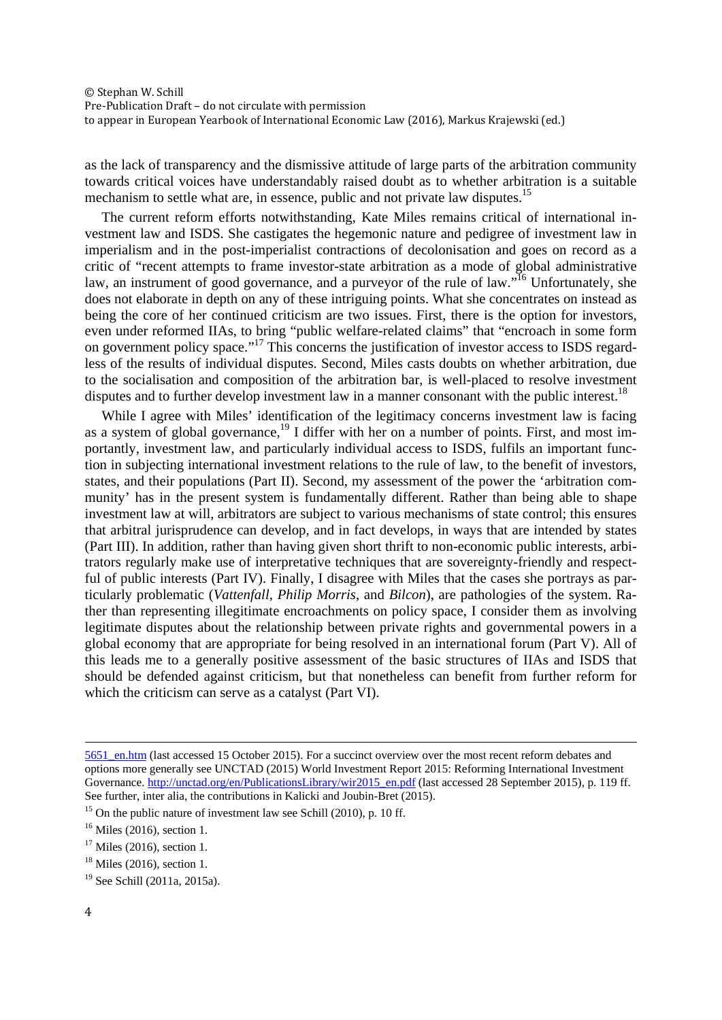as the lack of transparency and the dismissive attitude of large parts of the arbitration community towards critical voices have understandably raised doubt as to whether arbitration is a suitable mechanism to settle what are, in essence, public and not private law disputes.<sup>15</sup>

The current reform efforts notwithstanding, Kate Miles remains critical of international investment law and ISDS. She castigates the hegemonic nature and pedigree of investment law in imperialism and in the post-imperialist contractions of decolonisation and goes on record as a critic of "recent attempts to frame investor-state arbitration as a mode of global administrative law, an instrument of good governance, and a purveyor of the rule of law."<sup>16</sup> Unfortunately, she does not elaborate in depth on any of these intriguing points. What she concentrates on instead as being the core of her continued criticism are two issues. First, there is the option for investors, even under reformed IIAs, to bring "public welfare-related claims" that "encroach in some form on government policy space."17 This concerns the justification of investor access to ISDS regardless of the results of individual disputes. Second, Miles casts doubts on whether arbitration, due to the socialisation and composition of the arbitration bar, is well-placed to resolve investment disputes and to further develop investment law in a manner consonant with the public interest.<sup>18</sup>

While I agree with Miles' identification of the legitimacy concerns investment law is facing as a system of global governance.<sup>19</sup> I differ with her on a number of points. First, and most importantly, investment law, and particularly individual access to ISDS, fulfils an important function in subjecting international investment relations to the rule of law, to the benefit of investors, states, and their populations (Part II). Second, my assessment of the power the 'arbitration community' has in the present system is fundamentally different. Rather than being able to shape investment law at will, arbitrators are subject to various mechanisms of state control; this ensures that arbitral jurisprudence can develop, and in fact develops, in ways that are intended by states (Part III). In addition, rather than having given short thrift to non-economic public interests, arbitrators regularly make use of interpretative techniques that are sovereignty-friendly and respectful of public interests (Part IV). Finally, I disagree with Miles that the cases she portrays as particularly problematic (*Vattenfall, Philip Morris*, and *Bilcon*), are pathologies of the system. Rather than representing illegitimate encroachments on policy space, I consider them as involving legitimate disputes about the relationship between private rights and governmental powers in a global economy that are appropriate for being resolved in an international forum (Part V). All of this leads me to a generally positive assessment of the basic structures of IIAs and ISDS that should be defended against criticism, but that nonetheless can benefit from further reform for which the criticism can serve as a catalyst (Part VI).

<u> 1989 - Johann Barn, mars ann an t-Amhain ann an t-Amhain ann an t-Amhain ann an t-Amhain an t-Amhain ann an </u>

<sup>5651</sup>\_en.htm (last accessed 15 October 2015). For a succinct overview over the most recent reform debates and options more generally see UNCTAD (2015) World Investment Report 2015: Reforming International Investment Governance. http://unctad.org/en/PublicationsLibrary/wir2015\_en.pdf (last accessed 28 September 2015), p. 119 ff. See further, inter alia, the contributions in Kalicki and Joubin-Bret (2015).

 $15$  On the public nature of investment law see Schill (2010), p. 10 ff.

 $16$  Miles (2016), section 1.

 $17$  Miles (2016), section 1.

 $18$  Miles (2016), section 1.

<sup>19</sup> See Schill (2011a, 2015a).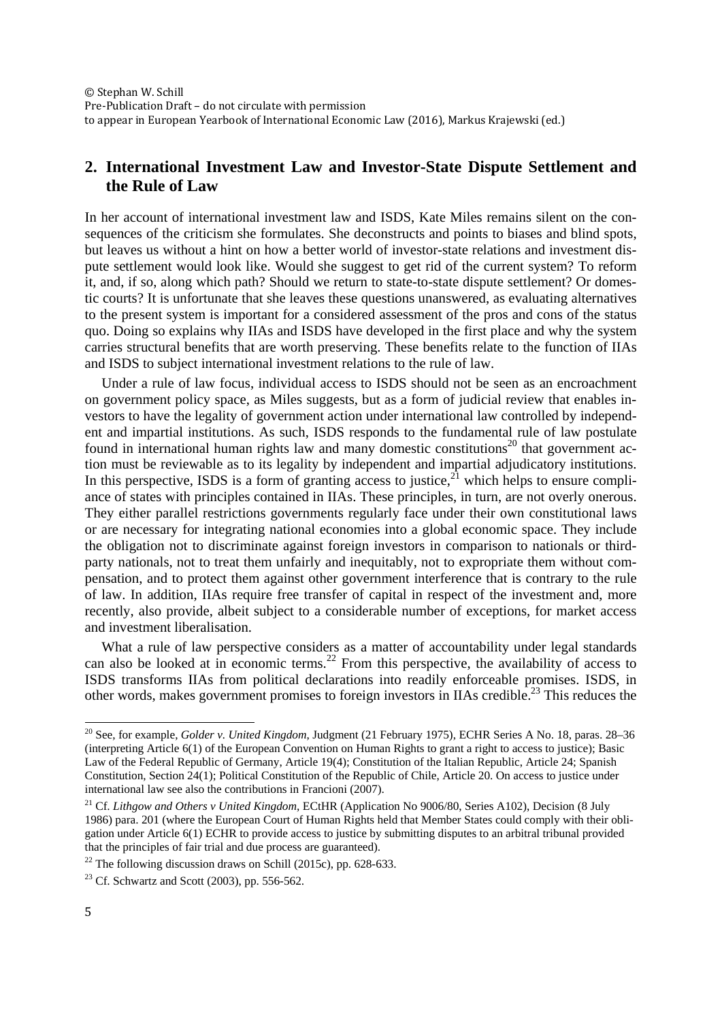### **2. International Investment Law and Investor-State Dispute Settlement and the Rule of Law**

In her account of international investment law and ISDS, Kate Miles remains silent on the consequences of the criticism she formulates. She deconstructs and points to biases and blind spots, but leaves us without a hint on how a better world of investor-state relations and investment dispute settlement would look like. Would she suggest to get rid of the current system? To reform it, and, if so, along which path? Should we return to state-to-state dispute settlement? Or domestic courts? It is unfortunate that she leaves these questions unanswered, as evaluating alternatives to the present system is important for a considered assessment of the pros and cons of the status quo. Doing so explains why IIAs and ISDS have developed in the first place and why the system carries structural benefits that are worth preserving. These benefits relate to the function of IIAs and ISDS to subject international investment relations to the rule of law.

Under a rule of law focus, individual access to ISDS should not be seen as an encroachment on government policy space, as Miles suggests, but as a form of judicial review that enables investors to have the legality of government action under international law controlled by independent and impartial institutions. As such, ISDS responds to the fundamental rule of law postulate found in international human rights law and many domestic constitutions<sup>20</sup> that government action must be reviewable as to its legality by independent and impartial adjudicatory institutions. In this perspective, ISDS is a form of granting access to justice, $^{21}$  which helps to ensure compliance of states with principles contained in IIAs. These principles, in turn, are not overly onerous. They either parallel restrictions governments regularly face under their own constitutional laws or are necessary for integrating national economies into a global economic space. They include the obligation not to discriminate against foreign investors in comparison to nationals or thirdparty nationals, not to treat them unfairly and inequitably, not to expropriate them without compensation, and to protect them against other government interference that is contrary to the rule of law. In addition, IIAs require free transfer of capital in respect of the investment and, more recently, also provide, albeit subject to a considerable number of exceptions, for market access and investment liberalisation.

What a rule of law perspective considers as a matter of accountability under legal standards can also be looked at in economic terms.<sup>22</sup> From this perspective, the availability of access to ISDS transforms IIAs from political declarations into readily enforceable promises. ISDS, in other words, makes government promises to foreign investors in IIAs credible.23 This reduces the

<sup>20</sup> See, for example, *Golder v. United Kingdom*, Judgment (21 February 1975), ECHR Series A No. 18, paras. 28–36 (interpreting Article 6(1) of the European Convention on Human Rights to grant a right to access to justice); Basic Law of the Federal Republic of Germany, Article 19(4); Constitution of the Italian Republic, Article 24; Spanish Constitution, Section 24(1); Political Constitution of the Republic of Chile, Article 20. On access to justice under international law see also the contributions in Francioni (2007).

<sup>&</sup>lt;sup>21</sup> Cf. *Lithgow and Others v United Kingdom, ECtHR (Application No 9006/80, Series A102), Decision (8 July* 1986) para. 201 (where the European Court of Human Rights held that Member States could comply with their obligation under Article 6(1) ECHR to provide access to justice by submitting disputes to an arbitral tribunal provided that the principles of fair trial and due process are guaranteed).

 $^{22}$  The following discussion draws on Schill (2015c), pp. 628-633.

<sup>&</sup>lt;sup>23</sup> Cf. Schwartz and Scott (2003), pp. 556-562.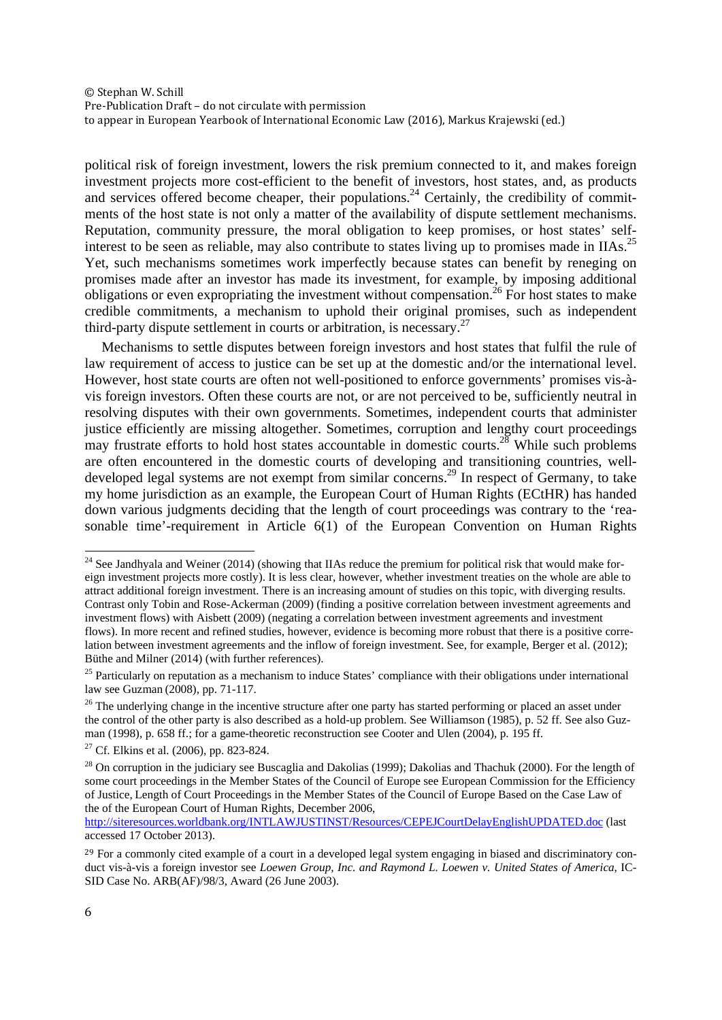political risk of foreign investment, lowers the risk premium connected to it, and makes foreign investment projects more cost-efficient to the benefit of investors, host states, and, as products and services offered become cheaper, their populations.<sup>24</sup> Certainly, the credibility of commitments of the host state is not only a matter of the availability of dispute settlement mechanisms. Reputation, community pressure, the moral obligation to keep promises, or host states' selfinterest to be seen as reliable, may also contribute to states living up to promises made in IIAs.<sup>25</sup> Yet, such mechanisms sometimes work imperfectly because states can benefit by reneging on promises made after an investor has made its investment, for example, by imposing additional obligations or even expropriating the investment without compensation.<sup>26</sup> For host states to make credible commitments, a mechanism to uphold their original promises, such as independent third-party dispute settlement in courts or arbitration, is necessary.<sup>27</sup>

Mechanisms to settle disputes between foreign investors and host states that fulfil the rule of law requirement of access to justice can be set up at the domestic and/or the international level. However, host state courts are often not well-positioned to enforce governments' promises vis-àvis foreign investors. Often these courts are not, or are not perceived to be, sufficiently neutral in resolving disputes with their own governments. Sometimes, independent courts that administer justice efficiently are missing altogether. Sometimes, corruption and lengthy court proceedings may frustrate efforts to hold host states accountable in domestic courts.<sup>28</sup> While such problems are often encountered in the domestic courts of developing and transitioning countries, welldeveloped legal systems are not exempt from similar concerns.<sup>29</sup> In respect of Germany, to take my home jurisdiction as an example, the European Court of Human Rights (ECtHR) has handed down various judgments deciding that the length of court proceedings was contrary to the 'reasonable time'-requirement in Article 6(1) of the European Convention on Human Rights

 

http://siteresources.worldbank.org/INTLAWJUSTINST/Resources/CEPEJCourtDelayEnglishUPDATED.doc (last accessed 17 October 2013).

 $24$  See Jandhyala and Weiner (2014) (showing that IIAs reduce the premium for political risk that would make foreign investment projects more costly). It is less clear, however, whether investment treaties on the whole are able to attract additional foreign investment. There is an increasing amount of studies on this topic, with diverging results. Contrast only Tobin and Rose-Ackerman (2009) (finding a positive correlation between investment agreements and investment flows) with Aisbett (2009) (negating a correlation between investment agreements and investment flows). In more recent and refined studies, however, evidence is becoming more robust that there is a positive correlation between investment agreements and the inflow of foreign investment. See, for example, Berger et al. (2012); Büthe and Milner (2014) (with further references).

<sup>&</sup>lt;sup>25</sup> Particularly on reputation as a mechanism to induce States' compliance with their obligations under international law see Guzman (2008), pp. 71-117.

<sup>&</sup>lt;sup>26</sup> The underlying change in the incentive structure after one party has started performing or placed an asset under the control of the other party is also described as a hold-up problem. See Williamson (1985), p. 52 ff. See also Guzman (1998), p. 658 ff.; for a game-theoretic reconstruction see Cooter and Ulen (2004), p. 195 ff.

<sup>27</sup> Cf. Elkins et al. (2006), pp. 823-824.

<sup>&</sup>lt;sup>28</sup> On corruption in the judiciary see Buscaglia and Dakolias (1999); Dakolias and Thachuk (2000). For the length of some court proceedings in the Member States of the Council of Europe see European Commission for the Efficiency of Justice, Length of Court Proceedings in the Member States of the Council of Europe Based on the Case Law of the of the European Court of Human Rights, December 2006,

<sup>&</sup>lt;sup>29</sup> For a commonly cited example of a court in a developed legal system engaging in biased and discriminatory conduct vis-à-vis a foreign investor see *Loewen Group, Inc. and Raymond L. Loewen v. United States of America*, IC-SID Case No. ARB(AF)/98/3, Award (26 June 2003).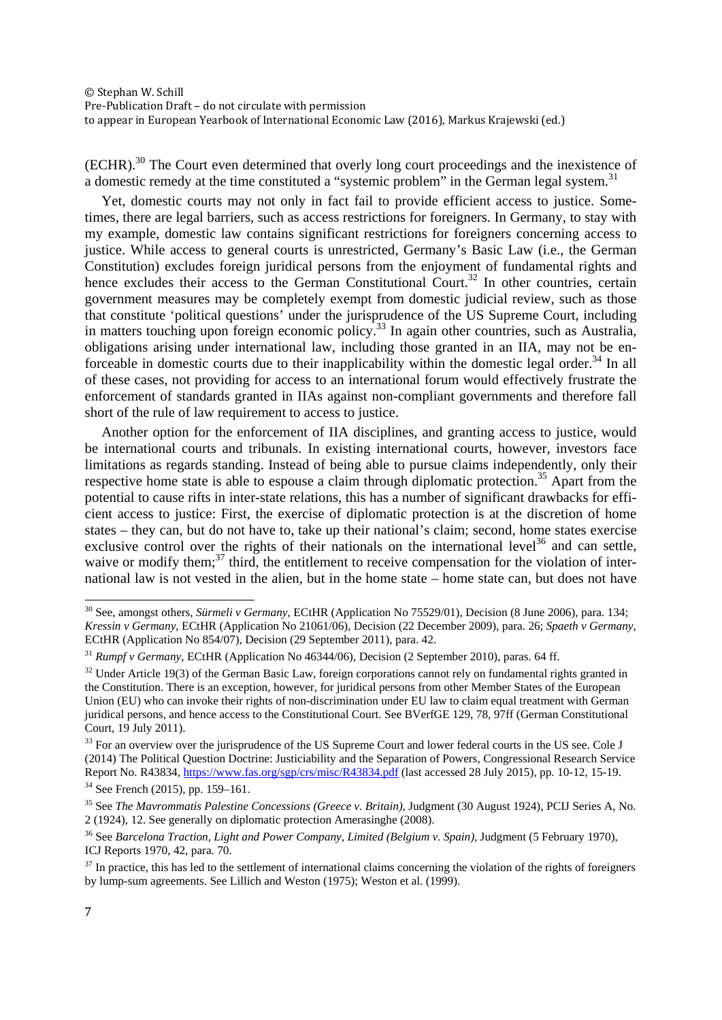(ECHR).30 The Court even determined that overly long court proceedings and the inexistence of a domestic remedy at the time constituted a "systemic problem" in the German legal system.<sup>31</sup>

Yet, domestic courts may not only in fact fail to provide efficient access to justice. Sometimes, there are legal barriers, such as access restrictions for foreigners. In Germany, to stay with my example, domestic law contains significant restrictions for foreigners concerning access to justice. While access to general courts is unrestricted, Germany's Basic Law (i.e., the German Constitution) excludes foreign juridical persons from the enjoyment of fundamental rights and hence excludes their access to the German Constitutional Court.<sup>32</sup> In other countries, certain government measures may be completely exempt from domestic judicial review, such as those that constitute 'political questions' under the jurisprudence of the US Supreme Court, including in matters touching upon foreign economic policy.<sup>33</sup> In again other countries, such as Australia, obligations arising under international law, including those granted in an IIA, may not be enforceable in domestic courts due to their inapplicability within the domestic legal order.<sup>34</sup> In all of these cases, not providing for access to an international forum would effectively frustrate the enforcement of standards granted in IIAs against non-compliant governments and therefore fall short of the rule of law requirement to access to justice.

Another option for the enforcement of IIA disciplines, and granting access to justice, would be international courts and tribunals. In existing international courts, however, investors face limitations as regards standing. Instead of being able to pursue claims independently, only their respective home state is able to espouse a claim through diplomatic protection.<sup>35</sup> Apart from the potential to cause rifts in inter-state relations, this has a number of significant drawbacks for efficient access to justice: First, the exercise of diplomatic protection is at the discretion of home states – they can, but do not have to, take up their national's claim; second, home states exercise exclusive control over the rights of their nationals on the international level<sup>36</sup> and can settle, waive or modify them; $37$  third, the entitlement to receive compensation for the violation of international law is not vested in the alien, but in the home state – home state can, but does not have

<sup>30</sup> See, amongst others, *Sürmeli v Germany*, ECtHR (Application No 75529/01), Decision (8 June 2006), para. 134; *Kressin v Germany*, ECtHR (Application No 21061/06), Decision (22 December 2009), para. 26; *Spaeth v Germany*, ECtHR (Application No 854/07), Decision (29 September 2011), para. 42.

<sup>&</sup>lt;sup>31</sup> *Rumpf v Germany*, ECtHR (Application No 46344/06), Decision (2 September 2010), paras. 64 ff. <sup>32</sup> Under Article 19(3) of the German Basic Law, foreign corporations cannot rely on fundamental rights granted in the Constitution. There is an exception, however, for juridical persons from other Member States of the European Union (EU) who can invoke their rights of non-discrimination under EU law to claim equal treatment with German juridical persons, and hence access to the Constitutional Court. See BVerfGE 129, 78, 97ff (German Constitutional Court, 19 July 2011).

<sup>&</sup>lt;sup>33</sup> For an overview over the jurisprudence of the US Supreme Court and lower federal courts in the US see. Cole J (2014) The Political Question Doctrine: Justiciability and the Separation of Powers, Congressional Research Service Report No. R43834, https://www.fas.org/sgp/crs/misc/R43834.pdf (last accessed 28 July 2015), pp. 10-12, 15-19.<br><sup>34</sup> See French (2015), pp. 159–161.

<sup>35</sup> See *The Mavrommatis Palestine Concessions (Greece v. Britain)*, Judgment (30 August 1924), PCIJ Series A, No. 2 (1924), 12. See generally on diplomatic protection Amerasinghe (2008).

<sup>&</sup>lt;sup>36</sup> See *Barcelona Traction, Light and Power Company, Limited (Belgium v. Spain), Judgment (5 February 1970),* ICJ Reports 1970, 42, para. 70.

 $37$  In practice, this has led to the settlement of international claims concerning the violation of the rights of foreigners by lump-sum agreements. See Lillich and Weston (1975); Weston et al. (1999).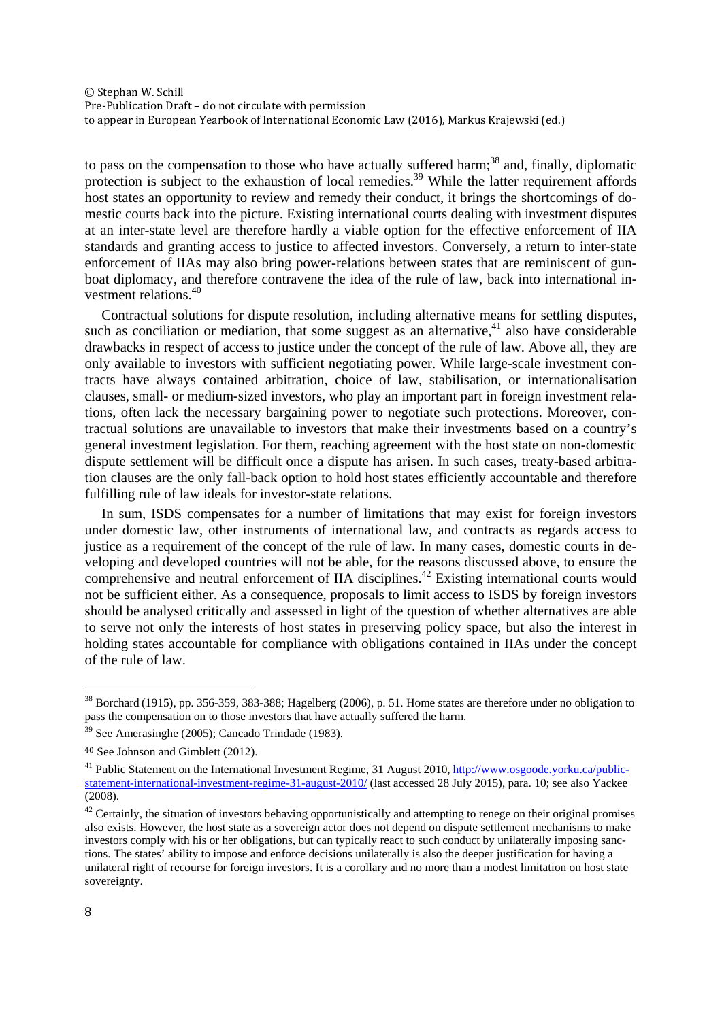to pass on the compensation to those who have actually suffered harm;<sup>38</sup> and, finally, diplomatic protection is subject to the exhaustion of local remedies.<sup>39</sup> While the latter requirement affords host states an opportunity to review and remedy their conduct, it brings the shortcomings of domestic courts back into the picture. Existing international courts dealing with investment disputes at an inter-state level are therefore hardly a viable option for the effective enforcement of IIA standards and granting access to justice to affected investors. Conversely, a return to inter-state enforcement of IIAs may also bring power-relations between states that are reminiscent of gunboat diplomacy, and therefore contravene the idea of the rule of law, back into international investment relations.40

Contractual solutions for dispute resolution, including alternative means for settling disputes, such as conciliation or mediation, that some suggest as an alternative, $41$  also have considerable drawbacks in respect of access to justice under the concept of the rule of law. Above all, they are only available to investors with sufficient negotiating power. While large-scale investment contracts have always contained arbitration, choice of law, stabilisation, or internationalisation clauses, small- or medium-sized investors, who play an important part in foreign investment relations, often lack the necessary bargaining power to negotiate such protections. Moreover, contractual solutions are unavailable to investors that make their investments based on a country's general investment legislation. For them, reaching agreement with the host state on non-domestic dispute settlement will be difficult once a dispute has arisen. In such cases, treaty-based arbitration clauses are the only fall-back option to hold host states efficiently accountable and therefore fulfilling rule of law ideals for investor-state relations.

In sum, ISDS compensates for a number of limitations that may exist for foreign investors under domestic law, other instruments of international law, and contracts as regards access to justice as a requirement of the concept of the rule of law. In many cases, domestic courts in developing and developed countries will not be able, for the reasons discussed above, to ensure the comprehensive and neutral enforcement of IIA disciplines.<sup>42</sup> Existing international courts would not be sufficient either. As a consequence, proposals to limit access to ISDS by foreign investors should be analysed critically and assessed in light of the question of whether alternatives are able to serve not only the interests of host states in preserving policy space, but also the interest in holding states accountable for compliance with obligations contained in IIAs under the concept of the rule of law.

 $38$  Borchard (1915), pp. 356-359, 383-388; Hagelberg (2006), p. 51. Home states are therefore under no obligation to pass the compensation on to those investors that have actually suffered the harm.

<sup>39</sup> See Amerasinghe (2005); Cancado Trindade (1983).

<sup>40</sup> See Johnson and Gimblett (2012).

<sup>&</sup>lt;sup>41</sup> Public Statement on the International Investment Regime, 31 August 2010, http://www.osgoode.yorku.ca/publicstatement-international-investment-regime-31-august-2010/ (last accessed 28 July 2015), para. 10; see also Yackee  $(2008).$ 

 $42$  Certainly, the situation of investors behaving opportunistically and attempting to renege on their original promises also exists. However, the host state as a sovereign actor does not depend on dispute settlement mechanisms to make investors comply with his or her obligations, but can typically react to such conduct by unilaterally imposing sanctions. The states' ability to impose and enforce decisions unilaterally is also the deeper justification for having a unilateral right of recourse for foreign investors. It is a corollary and no more than a modest limitation on host state sovereignty.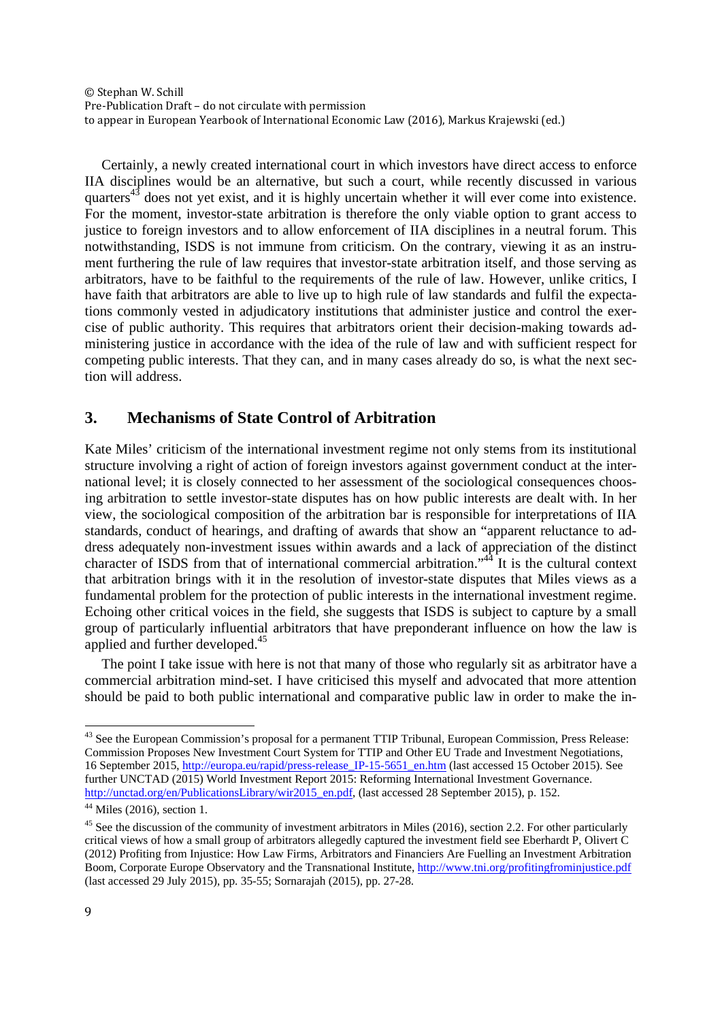Certainly, a newly created international court in which investors have direct access to enforce IIA disciplines would be an alternative, but such a court, while recently discussed in various quarters $43$  does not yet exist, and it is highly uncertain whether it will ever come into existence. For the moment, investor-state arbitration is therefore the only viable option to grant access to justice to foreign investors and to allow enforcement of IIA disciplines in a neutral forum. This notwithstanding, ISDS is not immune from criticism. On the contrary, viewing it as an instrument furthering the rule of law requires that investor-state arbitration itself, and those serving as arbitrators, have to be faithful to the requirements of the rule of law. However, unlike critics, I have faith that arbitrators are able to live up to high rule of law standards and fulfil the expectations commonly vested in adjudicatory institutions that administer justice and control the exercise of public authority. This requires that arbitrators orient their decision-making towards administering justice in accordance with the idea of the rule of law and with sufficient respect for competing public interests. That they can, and in many cases already do so, is what the next section will address.

#### **3. Mechanisms of State Control of Arbitration**

Kate Miles' criticism of the international investment regime not only stems from its institutional structure involving a right of action of foreign investors against government conduct at the international level; it is closely connected to her assessment of the sociological consequences choosing arbitration to settle investor-state disputes has on how public interests are dealt with. In her view, the sociological composition of the arbitration bar is responsible for interpretations of IIA standards, conduct of hearings, and drafting of awards that show an "apparent reluctance to address adequately non-investment issues within awards and a lack of appreciation of the distinct character of ISDS from that of international commercial arbitration."44 It is the cultural context that arbitration brings with it in the resolution of investor-state disputes that Miles views as a fundamental problem for the protection of public interests in the international investment regime. Echoing other critical voices in the field, she suggests that ISDS is subject to capture by a small group of particularly influential arbitrators that have preponderant influence on how the law is applied and further developed.<sup>45</sup>

The point I take issue with here is not that many of those who regularly sit as arbitrator have a commercial arbitration mind-set. I have criticised this myself and advocated that more attention should be paid to both public international and comparative public law in order to make the in-

<sup>&</sup>lt;sup>43</sup> See the European Commission's proposal for a permanent TTIP Tribunal, European Commission, Press Release: Commission Proposes New Investment Court System for TTIP and Other EU Trade and Investment Negotiations, 16 September 2015, http://europa.eu/rapid/press-release\_IP-15-5651\_en.htm (last accessed 15 October 2015). See further UNCTAD (2015) World Investment Report 2015: Reforming International Investment Governance. http://unctad.org/en/PublicationsLibrary/wir2015\_en.pdf, (last accessed 28 September 2015), p. 152. 44 Miles (2016), section 1.

 $45$  See the discussion of the community of investment arbitrators in Miles (2016), section 2.2. For other particularly critical views of how a small group of arbitrators allegedly captured the investment field see Eberhardt P, Olivert C (2012) Profiting from Injustice: How Law Firms, Arbitrators and Financiers Are Fuelling an Investment Arbitration Boom, Corporate Europe Observatory and the Transnational Institute, http://www.tni.org/profitingfrominjustice.pdf (last accessed 29 July 2015), pp. 35-55; Sornarajah (2015), pp. 27-28.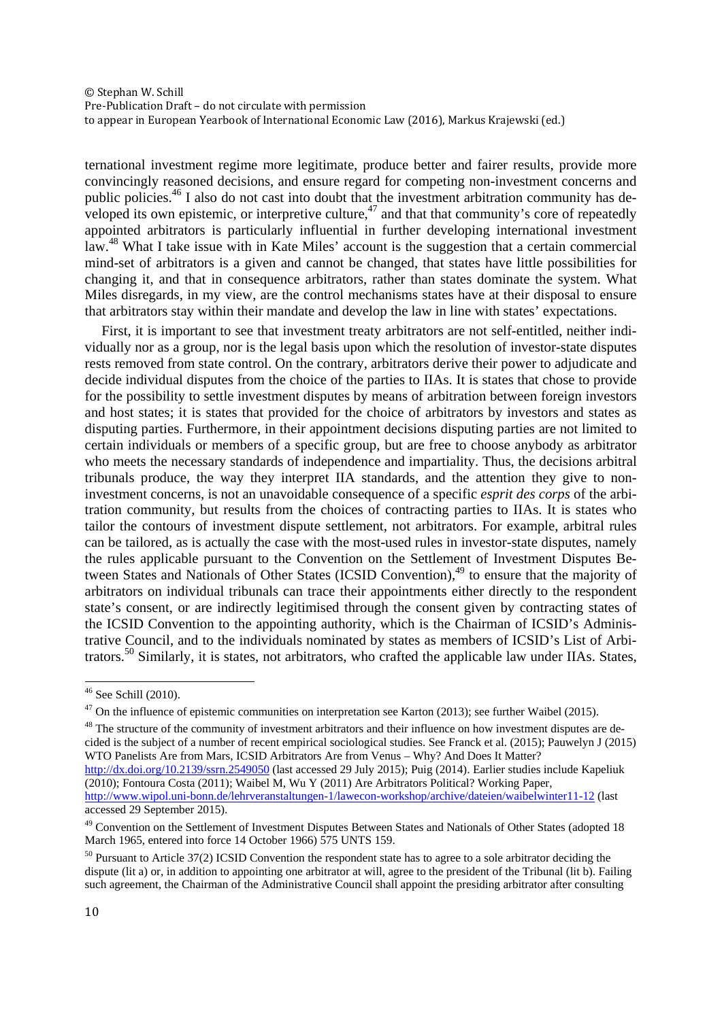ternational investment regime more legitimate, produce better and fairer results, provide more convincingly reasoned decisions, and ensure regard for competing non-investment concerns and public policies.<sup>46</sup> I also do not cast into doubt that the investment arbitration community has developed its own epistemic, or interpretive culture,  $47$  and that that community's core of repeatedly appointed arbitrators is particularly influential in further developing international investment law.48 What I take issue with in Kate Miles' account is the suggestion that a certain commercial mind-set of arbitrators is a given and cannot be changed, that states have little possibilities for changing it, and that in consequence arbitrators, rather than states dominate the system. What Miles disregards, in my view, are the control mechanisms states have at their disposal to ensure that arbitrators stay within their mandate and develop the law in line with states' expectations.

First, it is important to see that investment treaty arbitrators are not self-entitled, neither individually nor as a group, nor is the legal basis upon which the resolution of investor-state disputes rests removed from state control. On the contrary, arbitrators derive their power to adjudicate and decide individual disputes from the choice of the parties to IIAs. It is states that chose to provide for the possibility to settle investment disputes by means of arbitration between foreign investors and host states; it is states that provided for the choice of arbitrators by investors and states as disputing parties. Furthermore, in their appointment decisions disputing parties are not limited to certain individuals or members of a specific group, but are free to choose anybody as arbitrator who meets the necessary standards of independence and impartiality. Thus, the decisions arbitral tribunals produce, the way they interpret IIA standards, and the attention they give to noninvestment concerns, is not an unavoidable consequence of a specific *esprit des corps* of the arbitration community, but results from the choices of contracting parties to IIAs. It is states who tailor the contours of investment dispute settlement, not arbitrators. For example, arbitral rules can be tailored, as is actually the case with the most-used rules in investor-state disputes, namely the rules applicable pursuant to the Convention on the Settlement of Investment Disputes Between States and Nationals of Other States (ICSID Convention),<sup>49</sup> to ensure that the majority of arbitrators on individual tribunals can trace their appointments either directly to the respondent state's consent, or are indirectly legitimised through the consent given by contracting states of the ICSID Convention to the appointing authority, which is the Chairman of ICSID's Administrative Council, and to the individuals nominated by states as members of ICSID's List of Arbitrators.50 Similarly, it is states, not arbitrators, who crafted the applicable law under IIAs. States,

 

<sup>48</sup> The structure of the community of investment arbitrators and their influence on how investment disputes are decided is the subject of a number of recent empirical sociological studies. See Franck et al. (2015); Pauwelyn J (2015) WTO Panelists Are from Mars, ICSID Arbitrators Are from Venus – Why? And Does It Matter? http://dx.doi.org/10.2139/ssrn.2549050 (last accessed 29 July 2015); Puig (2014). Earlier studies include Kapeliuk

<sup>46</sup> See Schill (2010).

 $47$  On the influence of epistemic communities on interpretation see Karton (2013); see further Waibel (2015).

<sup>(2010);</sup> Fontoura Costa (2011); Waibel M, Wu Y (2011) Are Arbitrators Political? Working Paper, http://www.wipol.uni-bonn.de/lehrveranstaltungen-1/lawecon-workshop/archive/dateien/waibelwinter11-12 (last accessed 29 September 2015).

<sup>&</sup>lt;sup>49</sup> Convention on the Settlement of Investment Disputes Between States and Nationals of Other States (adopted 18 March 1965, entered into force 14 October 1966) 575 UNTS 159.

<sup>&</sup>lt;sup>50</sup> Pursuant to Article 37(2) ICSID Convention the respondent state has to agree to a sole arbitrator deciding the dispute (lit a) or, in addition to appointing one arbitrator at will, agree to the president of the Tribunal (lit b). Failing such agreement, the Chairman of the Administrative Council shall appoint the presiding arbitrator after consulting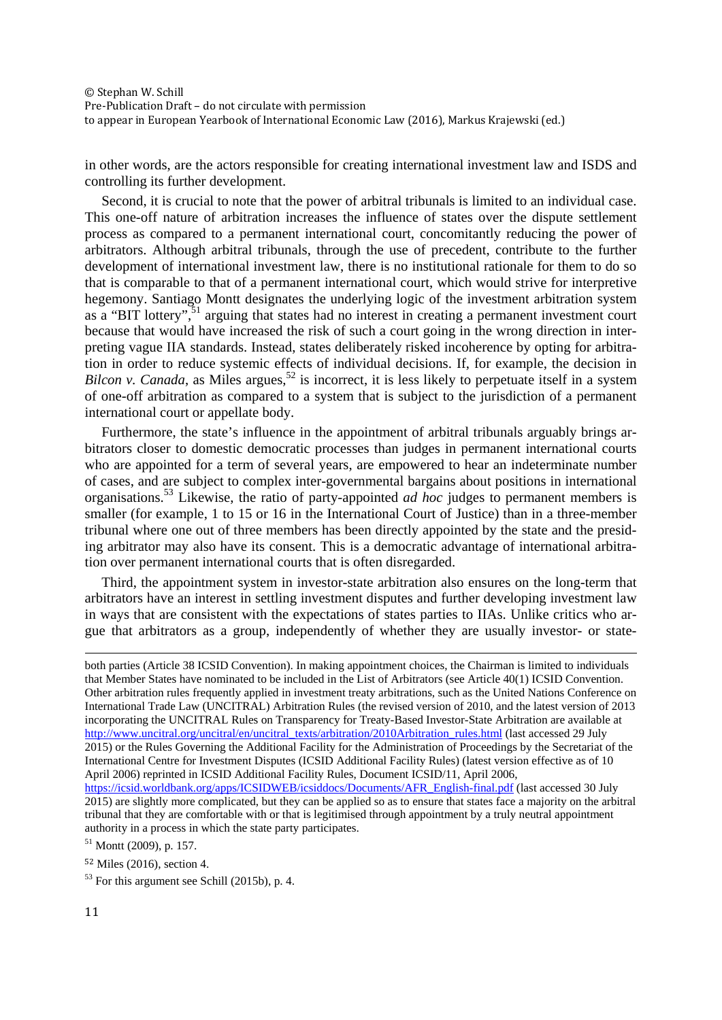in other words, are the actors responsible for creating international investment law and ISDS and controlling its further development.

Second, it is crucial to note that the power of arbitral tribunals is limited to an individual case. This one-off nature of arbitration increases the influence of states over the dispute settlement process as compared to a permanent international court, concomitantly reducing the power of arbitrators. Although arbitral tribunals, through the use of precedent, contribute to the further development of international investment law, there is no institutional rationale for them to do so that is comparable to that of a permanent international court, which would strive for interpretive hegemony. Santiago Montt designates the underlying logic of the investment arbitration system as a "BIT lottery",<sup>51</sup> arguing that states had no interest in creating a permanent investment court because that would have increased the risk of such a court going in the wrong direction in interpreting vague IIA standards. Instead, states deliberately risked incoherence by opting for arbitration in order to reduce systemic effects of individual decisions. If, for example, the decision in *Bilcon v. Canada*, as Miles argues,<sup>52</sup> is incorrect, it is less likely to perpetuate itself in a system of one-off arbitration as compared to a system that is subject to the jurisdiction of a permanent international court or appellate body.

Furthermore, the state's influence in the appointment of arbitral tribunals arguably brings arbitrators closer to domestic democratic processes than judges in permanent international courts who are appointed for a term of several years, are empowered to hear an indeterminate number of cases, and are subject to complex inter-governmental bargains about positions in international organisations.53 Likewise, the ratio of party-appointed *ad hoc* judges to permanent members is smaller (for example, 1 to 15 or 16 in the International Court of Justice) than in a three-member tribunal where one out of three members has been directly appointed by the state and the presiding arbitrator may also have its consent. This is a democratic advantage of international arbitration over permanent international courts that is often disregarded.

Third, the appointment system in investor-state arbitration also ensures on the long-term that arbitrators have an interest in settling investment disputes and further developing investment law in ways that are consistent with the expectations of states parties to IIAs. Unlike critics who argue that arbitrators as a group, independently of whether they are usually investor- or state-

<u> 1989 - Johann Barn, mars ann an t-Amhain ann an t-Amhain ann an t-Amhain ann an t-Amhain an t-Amhain ann an </u>

both parties (Article 38 ICSID Convention). In making appointment choices, the Chairman is limited to individuals that Member States have nominated to be included in the List of Arbitrators (see Article 40(1) ICSID Convention. Other arbitration rules frequently applied in investment treaty arbitrations, such as the United Nations Conference on International Trade Law (UNCITRAL) Arbitration Rules (the revised version of 2010, and the latest version of 2013 incorporating the UNCITRAL Rules on Transparency for Treaty-Based Investor-State Arbitration are available at http://www.uncitral.org/uncitral/en/uncitral\_texts/arbitration/2010Arbitration\_rules.html (last accessed 29 July 2015) or the Rules Governing the Additional Facility for the Administration of Proceedings by the Secretariat of the International Centre for Investment Disputes (ICSID Additional Facility Rules) (latest version effective as of 10 April 2006) reprinted in ICSID Additional Facility Rules, Document ICSID/11, April 2006,

https://icsid.worldbank.org/apps/ICSIDWEB/icsiddocs/Documents/AFR\_English-final.pdf (last accessed 30 July 2015) are slightly more complicated, but they can be applied so as to ensure that states face a majority on the arbitral tribunal that they are comfortable with or that is legitimised through appointment by a truly neutral appointment authority in a process in which the state party participates.

 $51$  Montt (2009), p. 157.

<sup>52</sup> Miles (2016), section 4.

<sup>53</sup> For this argument see Schill (2015b), p. 4.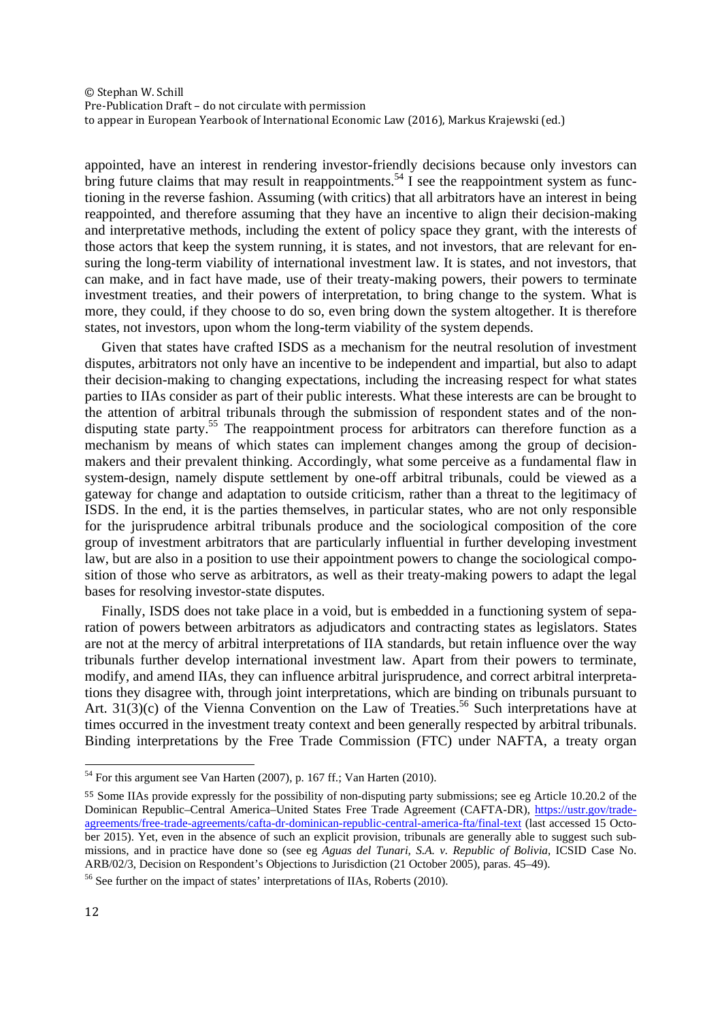appointed, have an interest in rendering investor-friendly decisions because only investors can bring future claims that may result in reappointments.<sup>54</sup> I see the reappointment system as functioning in the reverse fashion. Assuming (with critics) that all arbitrators have an interest in being reappointed, and therefore assuming that they have an incentive to align their decision-making and interpretative methods, including the extent of policy space they grant, with the interests of those actors that keep the system running, it is states, and not investors, that are relevant for ensuring the long-term viability of international investment law. It is states, and not investors, that can make, and in fact have made, use of their treaty-making powers, their powers to terminate investment treaties, and their powers of interpretation, to bring change to the system. What is more, they could, if they choose to do so, even bring down the system altogether. It is therefore states, not investors, upon whom the long-term viability of the system depends.

Given that states have crafted ISDS as a mechanism for the neutral resolution of investment disputes, arbitrators not only have an incentive to be independent and impartial, but also to adapt their decision-making to changing expectations, including the increasing respect for what states parties to IIAs consider as part of their public interests. What these interests are can be brought to the attention of arbitral tribunals through the submission of respondent states and of the nondisputing state party.<sup>55</sup> The reappointment process for arbitrators can therefore function as a mechanism by means of which states can implement changes among the group of decisionmakers and their prevalent thinking. Accordingly, what some perceive as a fundamental flaw in system-design, namely dispute settlement by one-off arbitral tribunals, could be viewed as a gateway for change and adaptation to outside criticism, rather than a threat to the legitimacy of ISDS. In the end, it is the parties themselves, in particular states, who are not only responsible for the jurisprudence arbitral tribunals produce and the sociological composition of the core group of investment arbitrators that are particularly influential in further developing investment law, but are also in a position to use their appointment powers to change the sociological composition of those who serve as arbitrators, as well as their treaty-making powers to adapt the legal bases for resolving investor-state disputes.

Finally, ISDS does not take place in a void, but is embedded in a functioning system of separation of powers between arbitrators as adjudicators and contracting states as legislators. States are not at the mercy of arbitral interpretations of IIA standards, but retain influence over the way tribunals further develop international investment law. Apart from their powers to terminate, modify, and amend IIAs, they can influence arbitral jurisprudence, and correct arbitral interpretations they disagree with, through joint interpretations, which are binding on tribunals pursuant to Art.  $31(3)(c)$  of the Vienna Convention on the Law of Treaties.<sup>56</sup> Such interpretations have at times occurred in the investment treaty context and been generally respected by arbitral tribunals. Binding interpretations by the Free Trade Commission (FTC) under NAFTA, a treaty organ

 $<sup>54</sup>$  For this argument see Van Harten (2007), p. 167 ff.; Van Harten (2010).</sup>

<sup>55</sup> Some IIAs provide expressly for the possibility of non-disputing party submissions; see eg Article 10.20.2 of the Dominican Republic–Central America–United States Free Trade Agreement (CAFTA-DR), https://ustr.gov/tradeagreements/free-trade-agreements/cafta-dr-dominican-republic-central-america-fta/final-text (last accessed 15 October 2015). Yet, even in the absence of such an explicit provision, tribunals are generally able to suggest such submissions, and in practice have done so (see eg *Aguas del Tunari, S.A. v. Republic of Bolivia*, ICSID Case No. ARB/02/3, Decision on Respondent's Objections to Jurisdiction (21 October 2005), paras. 45–49).

<sup>&</sup>lt;sup>56</sup> See further on the impact of states' interpretations of IIAs, Roberts (2010).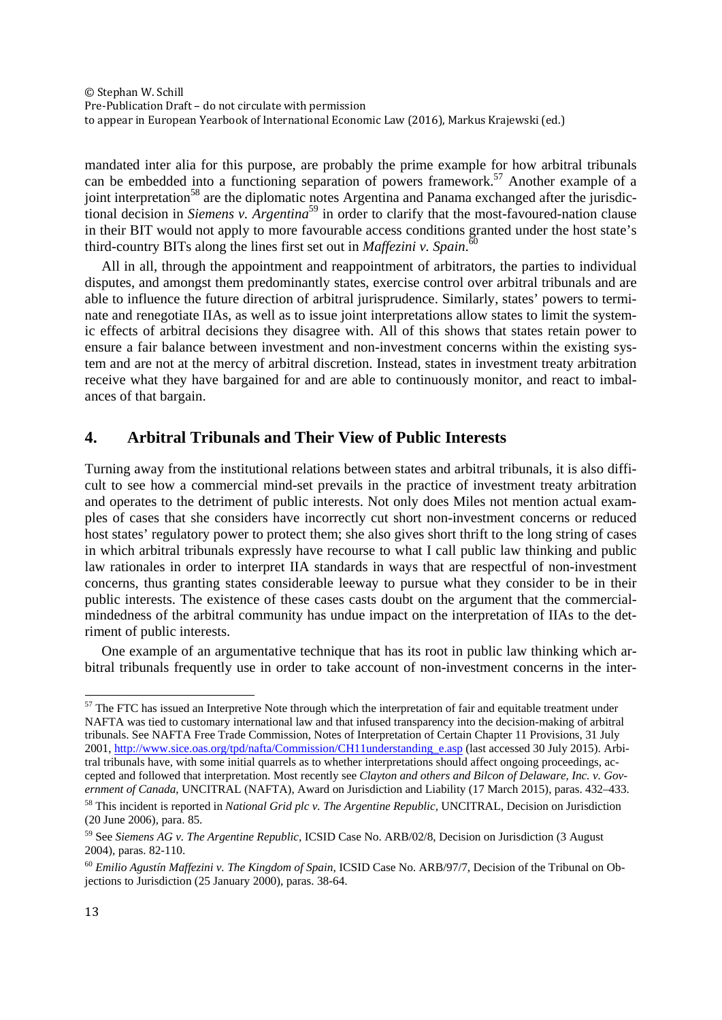mandated inter alia for this purpose, are probably the prime example for how arbitral tribunals can be embedded into a functioning separation of powers framework.<sup>57</sup> Another example of a joint interpretation<sup>58</sup> are the diplomatic notes Argentina and Panama exchanged after the jurisdictional decision in *Siemens v. Argentina*59 in order to clarify that the most-favoured-nation clause in their BIT would not apply to more favourable access conditions granted under the host state's third-country BITs along the lines first set out in *Maffezini v. Spain*. 60

All in all, through the appointment and reappointment of arbitrators, the parties to individual disputes, and amongst them predominantly states, exercise control over arbitral tribunals and are able to influence the future direction of arbitral jurisprudence. Similarly, states' powers to terminate and renegotiate IIAs, as well as to issue joint interpretations allow states to limit the systemic effects of arbitral decisions they disagree with. All of this shows that states retain power to ensure a fair balance between investment and non-investment concerns within the existing system and are not at the mercy of arbitral discretion. Instead, states in investment treaty arbitration receive what they have bargained for and are able to continuously monitor, and react to imbalances of that bargain.

### **4. Arbitral Tribunals and Their View of Public Interests**

Turning away from the institutional relations between states and arbitral tribunals, it is also difficult to see how a commercial mind-set prevails in the practice of investment treaty arbitration and operates to the detriment of public interests. Not only does Miles not mention actual examples of cases that she considers have incorrectly cut short non-investment concerns or reduced host states' regulatory power to protect them; she also gives short thrift to the long string of cases in which arbitral tribunals expressly have recourse to what I call public law thinking and public law rationales in order to interpret IIA standards in ways that are respectful of non-investment concerns, thus granting states considerable leeway to pursue what they consider to be in their public interests. The existence of these cases casts doubt on the argument that the commercialmindedness of the arbitral community has undue impact on the interpretation of IIAs to the detriment of public interests.

One example of an argumentative technique that has its root in public law thinking which arbitral tribunals frequently use in order to take account of non-investment concerns in the inter-

 $57$  The FTC has issued an Interpretive Note through which the interpretation of fair and equitable treatment under NAFTA was tied to customary international law and that infused transparency into the decision-making of arbitral tribunals. See NAFTA Free Trade Commission, Notes of Interpretation of Certain Chapter 11 Provisions, 31 July 2001, http://www.sice.oas.org/tpd/nafta/Commission/CH11understanding\_e.asp (last accessed 30 July 2015). Arbitral tribunals have, with some initial quarrels as to whether interpretations should affect ongoing proceedings, accepted and followed that interpretation. Most recently see *Clayton and others and Bilcon of Delaware, Inc. v. Government of Canada*, UNCITRAL (NAFTA), Award on Jurisdiction and Liability (17 March 2015), paras. 432–433.

<sup>58</sup> This incident is reported in *National Grid plc v. The Argentine Republic,* UNCITRAL, Decision on Jurisdiction (20 June 2006), para. 85.

<sup>59</sup> See *Siemens AG v. The Argentine Republic,* ICSID Case No. ARB/02/8, Decision on Jurisdiction (3 August 2004), paras. 82-110.

<sup>60</sup> *Emilio Agustín Maffezini v. The Kingdom of Spain*, ICSID Case No. ARB/97/7, Decision of the Tribunal on Objections to Jurisdiction (25 January 2000), paras. 38-64.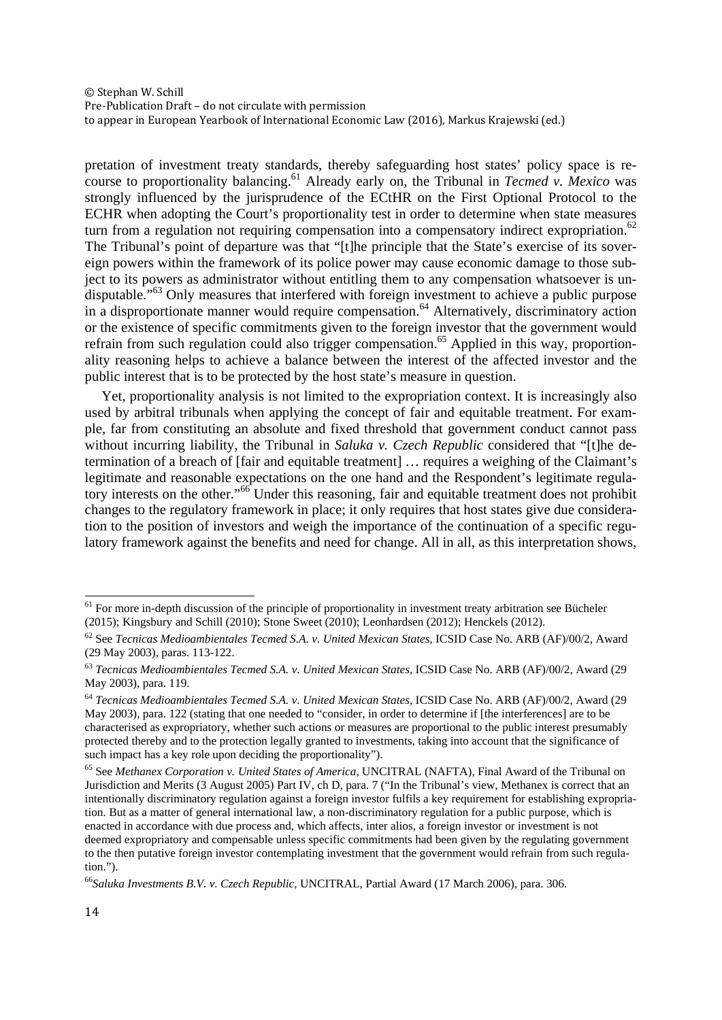pretation of investment treaty standards, thereby safeguarding host states' policy space is recourse to proportionality balancing.<sup>61</sup> Already early on, the Tribunal in *Tecmed v. Mexico* was strongly influenced by the jurisprudence of the ECtHR on the First Optional Protocol to the ECHR when adopting the Court's proportionality test in order to determine when state measures turn from a regulation not requiring compensation into a compensatory indirect expropriation.<sup>62</sup> The Tribunal's point of departure was that "[t]he principle that the State's exercise of its sovereign powers within the framework of its police power may cause economic damage to those subject to its powers as administrator without entitling them to any compensation whatsoever is undisputable.<sup>"63</sup> Only measures that interfered with foreign investment to achieve a public purpose in a disproportionate manner would require compensation.<sup>64</sup> Alternatively, discriminatory action or the existence of specific commitments given to the foreign investor that the government would refrain from such regulation could also trigger compensation.<sup>65</sup> Applied in this way, proportionality reasoning helps to achieve a balance between the interest of the affected investor and the public interest that is to be protected by the host state's measure in question.

Yet, proportionality analysis is not limited to the expropriation context. It is increasingly also used by arbitral tribunals when applying the concept of fair and equitable treatment. For example, far from constituting an absolute and fixed threshold that government conduct cannot pass without incurring liability, the Tribunal in *Saluka v. Czech Republic* considered that "[t]he determination of a breach of [fair and equitable treatment] … requires a weighing of the Claimant's legitimate and reasonable expectations on the one hand and the Respondent's legitimate regulatory interests on the other."<sup>66</sup> Under this reasoning, fair and equitable treatment does not prohibit changes to the regulatory framework in place; it only requires that host states give due consideration to the position of investors and weigh the importance of the continuation of a specific regulatory framework against the benefits and need for change. All in all, as this interpretation shows,

 $<sup>61</sup>$  For more in-depth discussion of the principle of proportionality in investment treaty arbitration see Bücheler</sup> (2015); Kingsbury and Schill (2010); Stone Sweet (2010); Leonhardsen (2012); Henckels (2012).

<sup>62</sup> See *Tecnicas Medioambientales Tecmed S.A. v. United Mexican States*, ICSID Case No. ARB (AF)/00/2, Award (29 May 2003), paras. 113-122.

<sup>63</sup> *Tecnicas Medioambientales Tecmed S.A. v. United Mexican States*, ICSID Case No. ARB (AF)/00/2, Award (29 May 2003), para. 119.

<sup>64</sup> *Tecnicas Medioambientales Tecmed S.A. v. United Mexican States*, ICSID Case No. ARB (AF)/00/2, Award (29 May 2003), para. 122 (stating that one needed to "consider, in order to determine if [the interferences] are to be characterised as expropriatory, whether such actions or measures are proportional to the public interest presumably protected thereby and to the protection legally granted to investments, taking into account that the significance of such impact has a key role upon deciding the proportionality").

<sup>&</sup>lt;sup>65</sup> See *Methanex Corporation v. United States of America*, UNCITRAL (NAFTA), Final Award of the Tribunal on Jurisdiction and Merits (3 August 2005) Part IV, ch D, para. 7 ("In the Tribunal's view, Methanex is correct that an intentionally discriminatory regulation against a foreign investor fulfils a key requirement for establishing expropriation. But as a matter of general international law, a non-discriminatory regulation for a public purpose, which is enacted in accordance with due process and, which affects, inter alios, a foreign investor or investment is not deemed expropriatory and compensable unless specific commitments had been given by the regulating government to the then putative foreign investor contemplating investment that the government would refrain from such regulation.").

<sup>66</sup>*Saluka Investments B.V. v. Czech Republic*, UNCITRAL, Partial Award (17 March 2006), para. 306.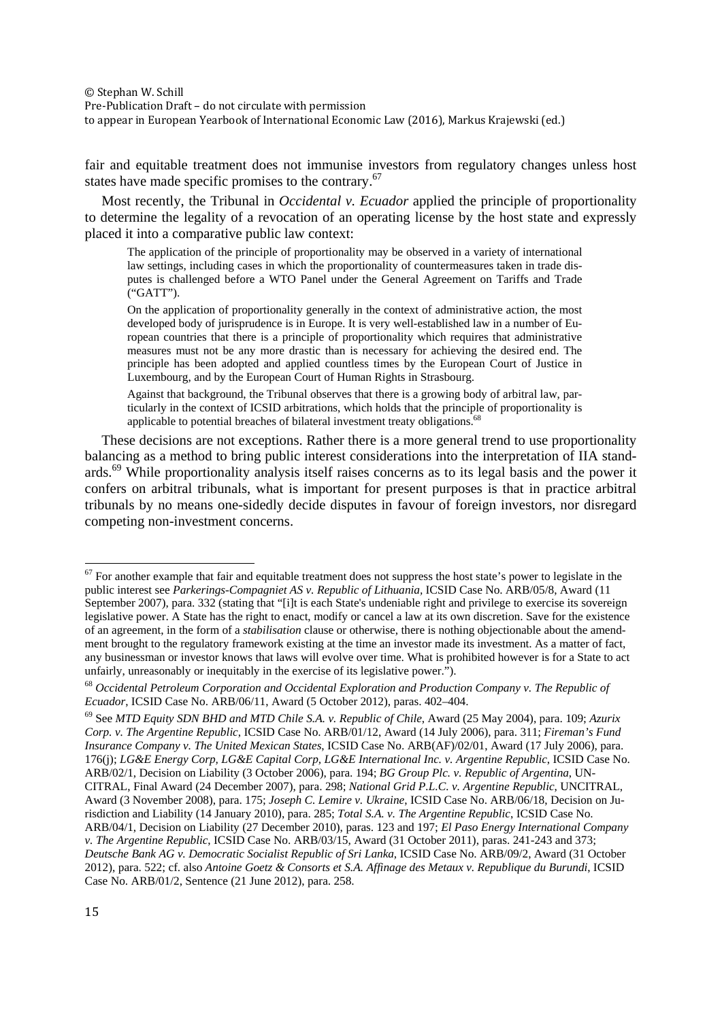fair and equitable treatment does not immunise investors from regulatory changes unless host states have made specific promises to the contrary.<sup>67</sup>

Most recently, the Tribunal in *Occidental v. Ecuador* applied the principle of proportionality to determine the legality of a revocation of an operating license by the host state and expressly placed it into a comparative public law context:

The application of the principle of proportionality may be observed in a variety of international law settings, including cases in which the proportionality of countermeasures taken in trade disputes is challenged before a WTO Panel under the General Agreement on Tariffs and Trade ("GATT").

On the application of proportionality generally in the context of administrative action, the most developed body of jurisprudence is in Europe. It is very well-established law in a number of European countries that there is a principle of proportionality which requires that administrative measures must not be any more drastic than is necessary for achieving the desired end. The principle has been adopted and applied countless times by the European Court of Justice in Luxembourg, and by the European Court of Human Rights in Strasbourg.

Against that background, the Tribunal observes that there is a growing body of arbitral law, particularly in the context of ICSID arbitrations, which holds that the principle of proportionality is applicable to potential breaches of bilateral investment treaty obligations.<sup>6</sup>

These decisions are not exceptions. Rather there is a more general trend to use proportionality balancing as a method to bring public interest considerations into the interpretation of IIA standards.<sup>69</sup> While proportionality analysis itself raises concerns as to its legal basis and the power it confers on arbitral tribunals, what is important for present purposes is that in practice arbitral tribunals by no means one-sidedly decide disputes in favour of foreign investors, nor disregard competing non-investment concerns.

 $67$  For another example that fair and equitable treatment does not suppress the host state's power to legislate in the public interest see *Parkerings-Compagniet AS v. Republic of Lithuania,* ICSID Case No. ARB/05/8, Award (11 September 2007), para. 332 (stating that "[i]t is each State's undeniable right and privilege to exercise its sovereign legislative power. A State has the right to enact, modify or cancel a law at its own discretion. Save for the existence of an agreement, in the form of a *stabilisation* clause or otherwise, there is nothing objectionable about the amendment brought to the regulatory framework existing at the time an investor made its investment. As a matter of fact, any businessman or investor knows that laws will evolve over time. What is prohibited however is for a State to act unfairly, unreasonably or inequitably in the exercise of its legislative power.").

<sup>68</sup> *Occidental Petroleum Corporation and Occidental Exploration and Production Company v. The Republic of Ecuador*, ICSID Case No. ARB/06/11, Award (5 October 2012), paras. 402–404.

<sup>69</sup> See *MTD Equity SDN BHD and MTD Chile S.A. v. Republic of Chile*, Award (25 May 2004), para. 109; *Azurix Corp. v. The Argentine Republic*, ICSID Case No. ARB/01/12, Award (14 July 2006), para. 311; *Fireman's Fund Insurance Company v. The United Mexican States*, ICSID Case No. ARB(AF)/02/01, Award (17 July 2006), para. 176(j); *LG&E Energy Corp, LG&E Capital Corp, LG&E International Inc. v. Argentine Republic*, ICSID Case No. ARB/02/1, Decision on Liability (3 October 2006), para. 194; *BG Group Plc. v. Republic of Argentina*, UN-CITRAL, Final Award (24 December 2007), para. 298; *National Grid P.L.C. v. Argentine Republic*, UNCITRAL, Award (3 November 2008), para. 175; *Joseph C. Lemire v. Ukraine*, ICSID Case No. ARB/06/18, Decision on Jurisdiction and Liability (14 January 2010), para. 285; *Total S.A. v. The Argentine Republic*, ICSID Case No. ARB/04/1, Decision on Liability (27 December 2010), paras. 123 and 197; *El Paso Energy International Company v. The Argentine Republic*, ICSID Case No. ARB/03/15, Award (31 October 2011), paras. 241-243 and 373; *Deutsche Bank AG v. Democratic Socialist Republic of Sri Lanka*, ICSID Case No. ARB/09/2, Award (31 October 2012), para. 522; cf. also *Antoine Goetz & Consorts et S.A. Affinage des Metaux v. Republique du Burundi*, ICSID Case No. ARB/01/2, Sentence (21 June 2012), para. 258.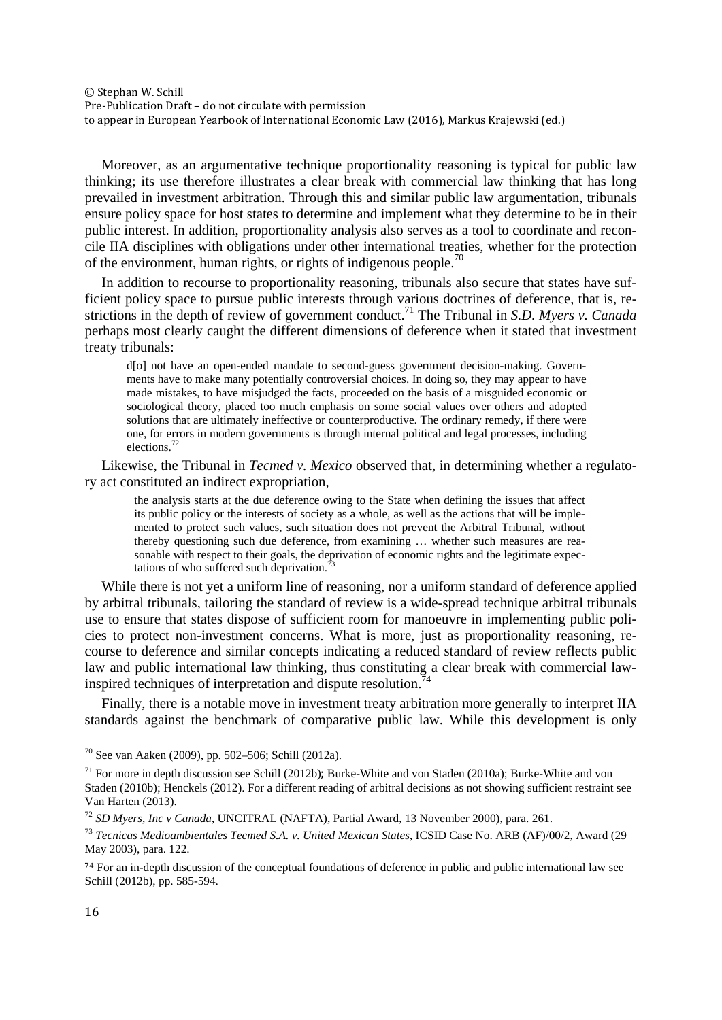Moreover, as an argumentative technique proportionality reasoning is typical for public law thinking; its use therefore illustrates a clear break with commercial law thinking that has long prevailed in investment arbitration. Through this and similar public law argumentation, tribunals ensure policy space for host states to determine and implement what they determine to be in their public interest. In addition, proportionality analysis also serves as a tool to coordinate and reconcile IIA disciplines with obligations under other international treaties, whether for the protection of the environment, human rights, or rights of indigenous people.<sup>70</sup>

In addition to recourse to proportionality reasoning, tribunals also secure that states have sufficient policy space to pursue public interests through various doctrines of deference, that is, restrictions in the depth of review of government conduct.<sup>71</sup> The Tribunal in *S.D. Myers v. Canada* perhaps most clearly caught the different dimensions of deference when it stated that investment treaty tribunals:

d[o] not have an open-ended mandate to second-guess government decision-making. Governments have to make many potentially controversial choices. In doing so, they may appear to have made mistakes, to have misjudged the facts, proceeded on the basis of a misguided economic or sociological theory, placed too much emphasis on some social values over others and adopted solutions that are ultimately ineffective or counterproductive. The ordinary remedy, if there were one, for errors in modern governments is through internal political and legal processes, including elections.<sup>72</sup>

Likewise, the Tribunal in *Tecmed v. Mexico* observed that, in determining whether a regulatory act constituted an indirect expropriation,

the analysis starts at the due deference owing to the State when defining the issues that affect its public policy or the interests of society as a whole, as well as the actions that will be implemented to protect such values, such situation does not prevent the Arbitral Tribunal, without thereby questioning such due deference, from examining … whether such measures are reasonable with respect to their goals, the deprivation of economic rights and the legitimate expectations of who suffered such deprivation.<sup>7</sup>

While there is not yet a uniform line of reasoning, nor a uniform standard of deference applied by arbitral tribunals, tailoring the standard of review is a wide-spread technique arbitral tribunals use to ensure that states dispose of sufficient room for manoeuvre in implementing public policies to protect non-investment concerns. What is more, just as proportionality reasoning, recourse to deference and similar concepts indicating a reduced standard of review reflects public law and public international law thinking, thus constituting a clear break with commercial lawinspired techniques of interpretation and dispute resolution.<sup>74</sup>

Finally, there is a notable move in investment treaty arbitration more generally to interpret IIA standards against the benchmark of comparative public law. While this development is only

 $70$  See van Aaken (2009), pp. 502–506; Schill (2012a).

 $71$  For more in depth discussion see Schill (2012b); Burke-White and von Staden (2010a); Burke-White and von Staden (2010b); Henckels (2012). For a different reading of arbitral decisions as not showing sufficient restraint see Van Harten (2013).

<sup>72</sup> *SD Myers, Inc v Canada*, UNCITRAL (NAFTA), Partial Award, 13 November 2000), para. 261. 73 *Tecnicas Medioambientales Tecmed S.A. v. United Mexican States*, ICSID Case No. ARB (AF)/00/2, Award (29 May 2003), para. 122.

<sup>74</sup> For an in-depth discussion of the conceptual foundations of deference in public and public international law see Schill (2012b), pp. 585-594.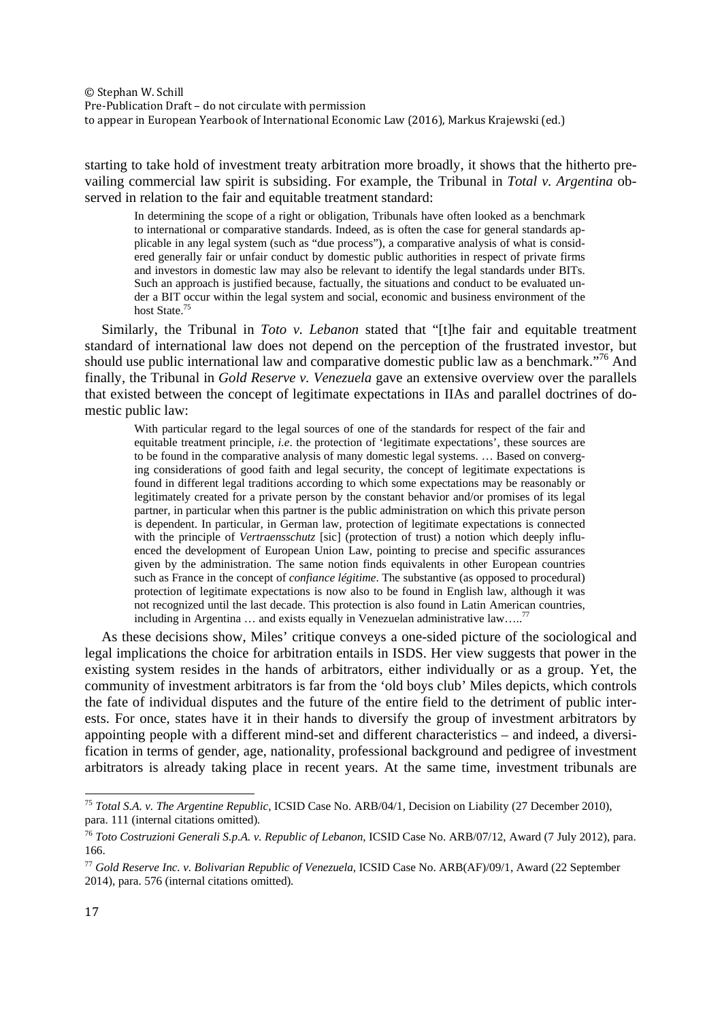starting to take hold of investment treaty arbitration more broadly, it shows that the hitherto prevailing commercial law spirit is subsiding. For example, the Tribunal in *Total v. Argentina* observed in relation to the fair and equitable treatment standard:

In determining the scope of a right or obligation, Tribunals have often looked as a benchmark to international or comparative standards. Indeed, as is often the case for general standards applicable in any legal system (such as "due process"), a comparative analysis of what is considered generally fair or unfair conduct by domestic public authorities in respect of private firms and investors in domestic law may also be relevant to identify the legal standards under BITs. Such an approach is justified because, factually, the situations and conduct to be evaluated under a BIT occur within the legal system and social, economic and business environment of the host State.<sup>75</sup>

Similarly, the Tribunal in *Toto v. Lebanon* stated that "[t]he fair and equitable treatment standard of international law does not depend on the perception of the frustrated investor, but should use public international law and comparative domestic public law as a benchmark.<sup>776</sup> And finally, the Tribunal in *Gold Reserve v. Venezuela* gave an extensive overview over the parallels that existed between the concept of legitimate expectations in IIAs and parallel doctrines of domestic public law:

With particular regard to the legal sources of one of the standards for respect of the fair and equitable treatment principle, *i.e*. the protection of 'legitimate expectations', these sources are to be found in the comparative analysis of many domestic legal systems. … Based on converging considerations of good faith and legal security, the concept of legitimate expectations is found in different legal traditions according to which some expectations may be reasonably or legitimately created for a private person by the constant behavior and/or promises of its legal partner, in particular when this partner is the public administration on which this private person is dependent. In particular, in German law, protection of legitimate expectations is connected with the principle of *Vertraensschutz* [sic] (protection of trust) a notion which deeply influenced the development of European Union Law, pointing to precise and specific assurances given by the administration. The same notion finds equivalents in other European countries such as France in the concept of *confiance légitime*. The substantive (as opposed to procedural) protection of legitimate expectations is now also to be found in English law, although it was not recognized until the last decade. This protection is also found in Latin American countries, including in Argentina  $\ldots$  and exists equally in Venezuelan administrative law. $\ldots$ <sup>77</sup>

As these decisions show, Miles' critique conveys a one-sided picture of the sociological and legal implications the choice for arbitration entails in ISDS. Her view suggests that power in the existing system resides in the hands of arbitrators, either individually or as a group. Yet, the community of investment arbitrators is far from the 'old boys club' Miles depicts, which controls the fate of individual disputes and the future of the entire field to the detriment of public interests. For once, states have it in their hands to diversify the group of investment arbitrators by appointing people with a different mind-set and different characteristics – and indeed, a diversification in terms of gender, age, nationality, professional background and pedigree of investment arbitrators is already taking place in recent years. At the same time, investment tribunals are

<sup>75</sup> *Total S.A. v. The Argentine Republic*, ICSID Case No. ARB/04/1, Decision on Liability (27 December 2010), para. 111 (internal citations omitted)*.*

<sup>76</sup> *Toto Costruzioni Generali S.p.A. v. Republic of Lebanon*, ICSID Case No. ARB/07/12, Award (7 July 2012), para. 166.

<sup>77</sup> *Gold Reserve Inc. v. Bolivarian Republic of Venezuela*, ICSID Case No. ARB(AF)/09/1, Award (22 September 2014), para. 576 (internal citations omitted)*.*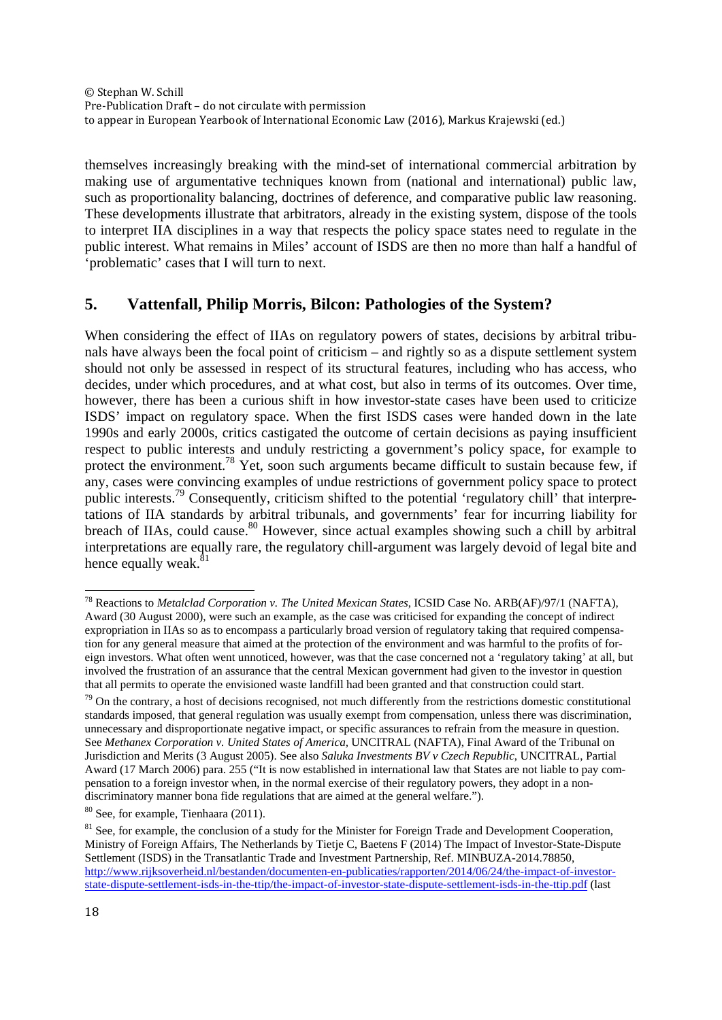themselves increasingly breaking with the mind-set of international commercial arbitration by making use of argumentative techniques known from (national and international) public law, such as proportionality balancing, doctrines of deference, and comparative public law reasoning. These developments illustrate that arbitrators, already in the existing system, dispose of the tools to interpret IIA disciplines in a way that respects the policy space states need to regulate in the public interest. What remains in Miles' account of ISDS are then no more than half a handful of 'problematic' cases that I will turn to next.

## **5. Vattenfall, Philip Morris, Bilcon: Pathologies of the System?**

When considering the effect of IIAs on regulatory powers of states, decisions by arbitral tribunals have always been the focal point of criticism – and rightly so as a dispute settlement system should not only be assessed in respect of its structural features, including who has access, who decides, under which procedures, and at what cost, but also in terms of its outcomes. Over time, however, there has been a curious shift in how investor-state cases have been used to criticize ISDS' impact on regulatory space. When the first ISDS cases were handed down in the late 1990s and early 2000s, critics castigated the outcome of certain decisions as paying insufficient respect to public interests and unduly restricting a government's policy space, for example to protect the environment.<sup>78</sup> Yet, soon such arguments became difficult to sustain because few, if any, cases were convincing examples of undue restrictions of government policy space to protect public interests.79 Consequently, criticism shifted to the potential 'regulatory chill' that interpretations of IIA standards by arbitral tribunals, and governments' fear for incurring liability for breach of IIAs, could cause.<sup>80</sup> However, since actual examples showing such a chill by arbitral interpretations are equally rare, the regulatory chill-argument was largely devoid of legal bite and hence equally weak.<sup>81</sup>

<sup>78</sup> Reactions to *Metalclad Corporation v. The United Mexican States*, ICSID Case No. ARB(AF)/97/1 (NAFTA), Award (30 August 2000), were such an example, as the case was criticised for expanding the concept of indirect expropriation in IIAs so as to encompass a particularly broad version of regulatory taking that required compensation for any general measure that aimed at the protection of the environment and was harmful to the profits of foreign investors. What often went unnoticed, however, was that the case concerned not a 'regulatory taking' at all, but involved the frustration of an assurance that the central Mexican government had given to the investor in question that all permits to operate the envisioned waste landfill had been granted and that construction could start.

<sup>&</sup>lt;sup>79</sup> On the contrary, a host of decisions recognised, not much differently from the restrictions domestic constitutional standards imposed, that general regulation was usually exempt from compensation, unless there was discrimination, unnecessary and disproportionate negative impact, or specific assurances to refrain from the measure in question. See *Methanex Corporation v. United States of America, UNCITRAL (NAFTA)*, Final Award of the Tribunal on Jurisdiction and Merits (3 August 2005). See also *Saluka Investments BV v Czech Republic*, UNCITRAL, Partial Award (17 March 2006) para. 255 ("It is now established in international law that States are not liable to pay compensation to a foreign investor when, in the normal exercise of their regulatory powers, they adopt in a nondiscriminatory manner bona fide regulations that are aimed at the general welfare.").

<sup>80</sup> See, for example, Tienhaara (2011).

<sup>&</sup>lt;sup>81</sup> See. for example, the conclusion of a study for the Minister for Foreign Trade and Development Cooperation, Ministry of Foreign Affairs, The Netherlands by Tietje C, Baetens F (2014) The Impact of Investor-State-Dispute Settlement (ISDS) in the Transatlantic Trade and Investment Partnership, Ref. MINBUZA-2014.78850, http://www.rijksoverheid.nl/bestanden/documenten-en-publicaties/rapporten/2014/06/24/the-impact-of-investorstate-dispute-settlement-isds-in-the-ttip/the-impact-of-investor-state-dispute-settlement-isds-in-the-ttip.pdf (last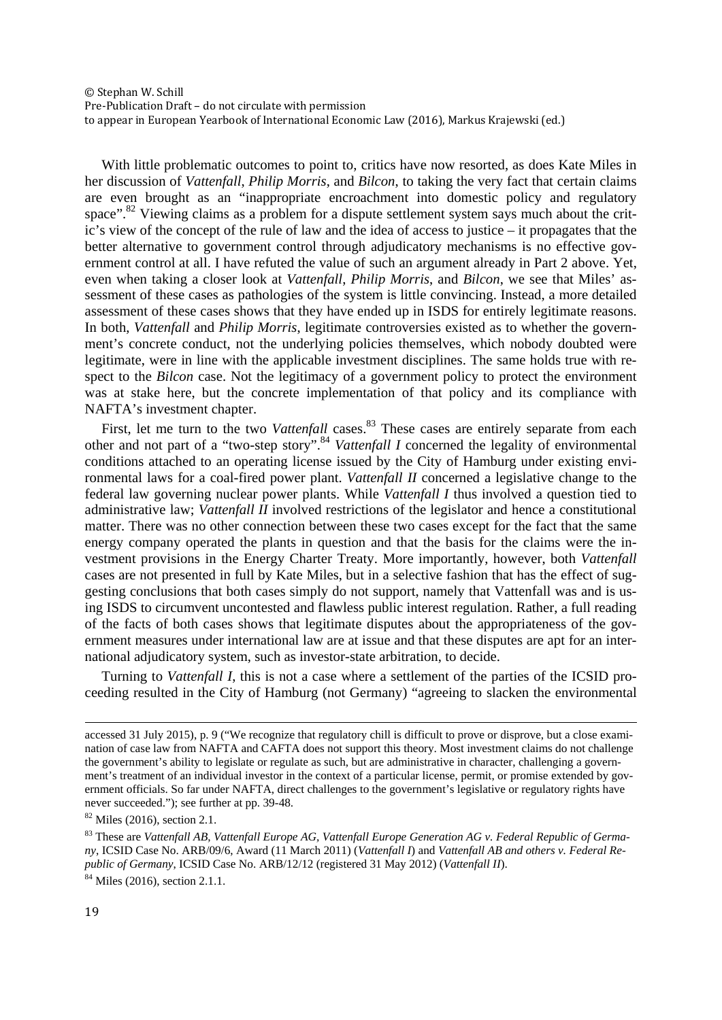With little problematic outcomes to point to, critics have now resorted, as does Kate Miles in her discussion of *Vattenfall*, *Philip Morris*, and *Bilcon*, to taking the very fact that certain claims are even brought as an "inappropriate encroachment into domestic policy and regulatory space".<sup>82</sup> Viewing claims as a problem for a dispute settlement system says much about the critic's view of the concept of the rule of law and the idea of access to justice – it propagates that the better alternative to government control through adjudicatory mechanisms is no effective government control at all. I have refuted the value of such an argument already in Part 2 above. Yet, even when taking a closer look at *Vattenfall*, *Philip Morris*, and *Bilcon*, we see that Miles' assessment of these cases as pathologies of the system is little convincing. Instead, a more detailed assessment of these cases shows that they have ended up in ISDS for entirely legitimate reasons. In both, *Vattenfall* and *Philip Morris*, legitimate controversies existed as to whether the government's concrete conduct, not the underlying policies themselves, which nobody doubted were legitimate, were in line with the applicable investment disciplines. The same holds true with respect to the *Bilcon* case. Not the legitimacy of a government policy to protect the environment was at stake here, but the concrete implementation of that policy and its compliance with NAFTA's investment chapter.

First, let me turn to the two *Vattenfall* cases.<sup>83</sup> These cases are entirely separate from each other and not part of a "two-step story".<sup>84</sup> *Vattenfall I* concerned the legality of environmental conditions attached to an operating license issued by the City of Hamburg under existing environmental laws for a coal-fired power plant. *Vattenfall II* concerned a legislative change to the federal law governing nuclear power plants. While *Vattenfall I* thus involved a question tied to administrative law; *Vattenfall II* involved restrictions of the legislator and hence a constitutional matter. There was no other connection between these two cases except for the fact that the same energy company operated the plants in question and that the basis for the claims were the investment provisions in the Energy Charter Treaty. More importantly, however, both *Vattenfall* cases are not presented in full by Kate Miles, but in a selective fashion that has the effect of suggesting conclusions that both cases simply do not support, namely that Vattenfall was and is using ISDS to circumvent uncontested and flawless public interest regulation. Rather, a full reading of the facts of both cases shows that legitimate disputes about the appropriateness of the government measures under international law are at issue and that these disputes are apt for an international adjudicatory system, such as investor-state arbitration, to decide.

Turning to *Vattenfall I*, this is not a case where a settlement of the parties of the ICSID proceeding resulted in the City of Hamburg (not Germany) "agreeing to slacken the environmental

<u> 1989 - Johann Barn, mars ann an t-Amhain ann an t-Amhain ann an t-Amhain ann an t-Amhain an t-Amhain ann an </u>

accessed 31 July 2015), p. 9 ("We recognize that regulatory chill is difficult to prove or disprove, but a close examination of case law from NAFTA and CAFTA does not support this theory. Most investment claims do not challenge the government's ability to legislate or regulate as such, but are administrative in character, challenging a government's treatment of an individual investor in the context of a particular license, permit, or promise extended by government officials. So far under NAFTA, direct challenges to the government's legislative or regulatory rights have never succeeded."); see further at pp. 39-48.

 $82$  Miles (2016), section 2.1.

<sup>83</sup> These are *Vattenfall AB, Vattenfall Europe AG, Vattenfall Europe Generation AG v. Federal Republic of Germany*, ICSID Case No. ARB/09/6, Award (11 March 2011) (*Vattenfall I*) and *Vattenfall AB and others v. Federal Republic of Germany*, ICSID Case No. ARB/12/12 (registered 31 May 2012) (*Vattenfall II*). <sup>84</sup> Miles (2016), section 2.1.1.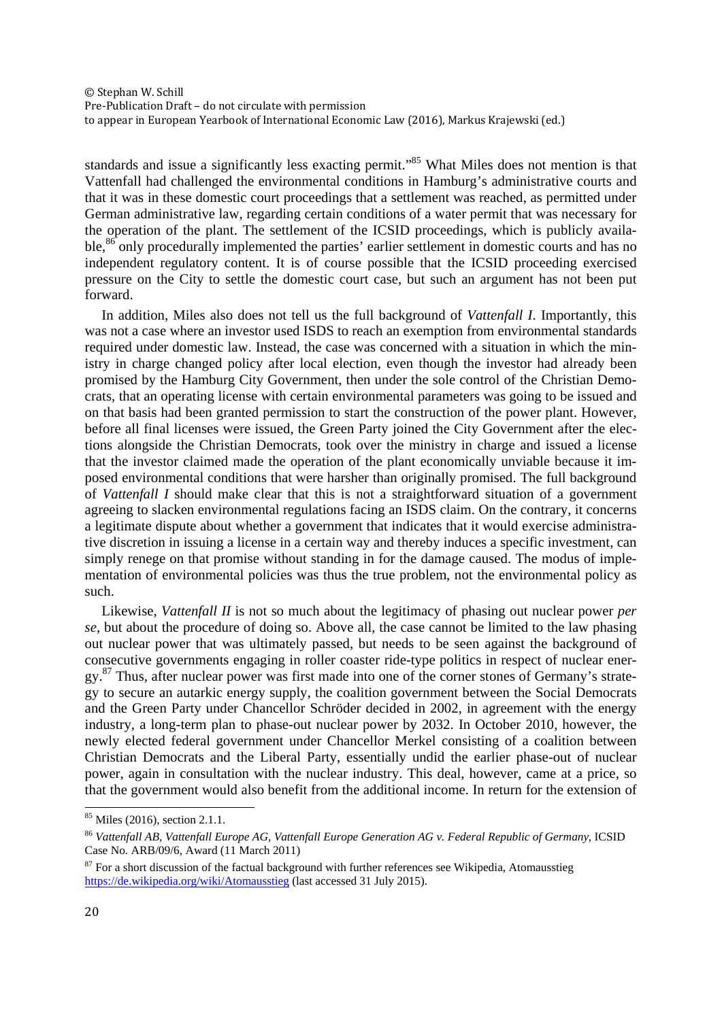standards and issue a significantly less exacting permit."<sup>85</sup> What Miles does not mention is that Vattenfall had challenged the environmental conditions in Hamburg's administrative courts and that it was in these domestic court proceedings that a settlement was reached, as permitted under German administrative law, regarding certain conditions of a water permit that was necessary for the operation of the plant. The settlement of the ICSID proceedings, which is publicly available,<sup>86</sup> only procedurally implemented the parties' earlier settlement in domestic courts and has no independent regulatory content. It is of course possible that the ICSID proceeding exercised pressure on the City to settle the domestic court case, but such an argument has not been put forward.

In addition, Miles also does not tell us the full background of *Vattenfall I*. Importantly, this was not a case where an investor used ISDS to reach an exemption from environmental standards required under domestic law. Instead, the case was concerned with a situation in which the ministry in charge changed policy after local election, even though the investor had already been promised by the Hamburg City Government, then under the sole control of the Christian Democrats, that an operating license with certain environmental parameters was going to be issued and on that basis had been granted permission to start the construction of the power plant. However, before all final licenses were issued, the Green Party joined the City Government after the elections alongside the Christian Democrats, took over the ministry in charge and issued a license that the investor claimed made the operation of the plant economically unviable because it imposed environmental conditions that were harsher than originally promised. The full background of *Vattenfall I* should make clear that this is not a straightforward situation of a government agreeing to slacken environmental regulations facing an ISDS claim. On the contrary, it concerns a legitimate dispute about whether a government that indicates that it would exercise administrative discretion in issuing a license in a certain way and thereby induces a specific investment, can simply renege on that promise without standing in for the damage caused. The modus of implementation of environmental policies was thus the true problem, not the environmental policy as such.

Likewise, *Vattenfall II* is not so much about the legitimacy of phasing out nuclear power *per se*, but about the procedure of doing so. Above all, the case cannot be limited to the law phasing out nuclear power that was ultimately passed, but needs to be seen against the background of consecutive governments engaging in roller coaster ride-type politics in respect of nuclear energy.87 Thus, after nuclear power was first made into one of the corner stones of Germany's strategy to secure an autarkic energy supply, the coalition government between the Social Democrats and the Green Party under Chancellor Schröder decided in 2002, in agreement with the energy industry, a long-term plan to phase-out nuclear power by 2032. In October 2010, however, the newly elected federal government under Chancellor Merkel consisting of a coalition between Christian Democrats and the Liberal Party, essentially undid the earlier phase-out of nuclear power, again in consultation with the nuclear industry. This deal, however, came at a price, so that the government would also benefit from the additional income. In return for the extension of

<sup>&</sup>lt;sup>85</sup> Miles (2016), section 2.1.1.

<sup>86</sup> *Vattenfall AB, Vattenfall Europe AG, Vattenfall Europe Generation AG v. Federal Republic of Germany*, ICSID Case No. ARB/09/6, Award (11 March 2011)

<sup>&</sup>lt;sup>87</sup> For a short discussion of the factual background with further references see Wikipedia, Atomausstieg https://de.wikipedia.org/wiki/Atomausstieg (last accessed 31 July 2015).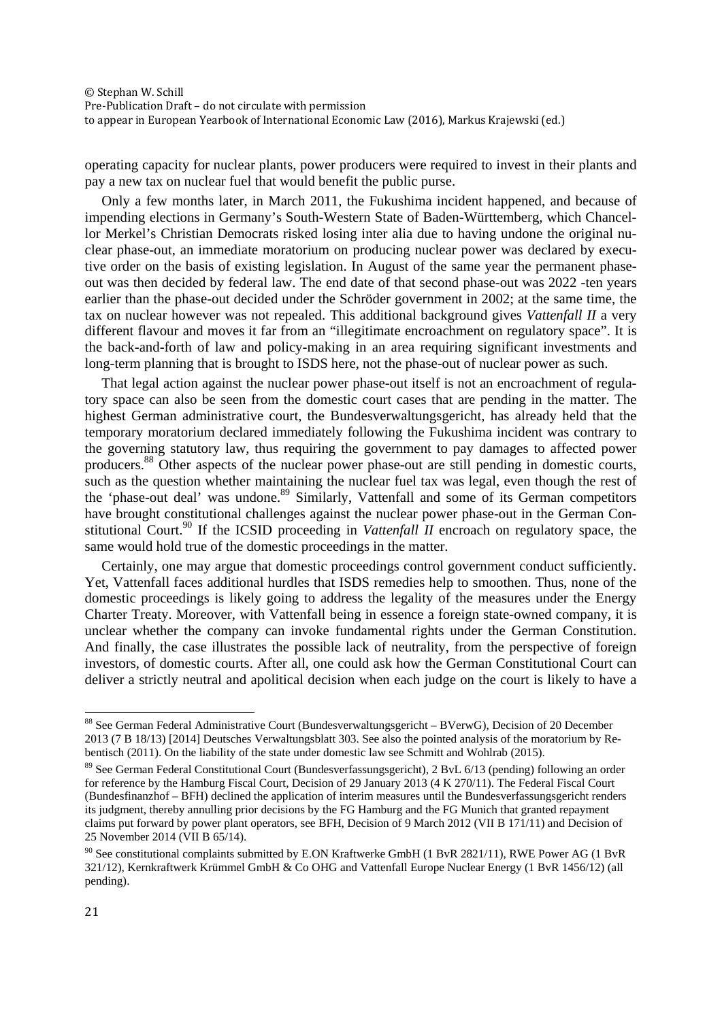operating capacity for nuclear plants, power producers were required to invest in their plants and pay a new tax on nuclear fuel that would benefit the public purse.

Only a few months later, in March 2011, the Fukushima incident happened, and because of impending elections in Germany's South-Western State of Baden-Württemberg, which Chancellor Merkel's Christian Democrats risked losing inter alia due to having undone the original nuclear phase-out, an immediate moratorium on producing nuclear power was declared by executive order on the basis of existing legislation. In August of the same year the permanent phaseout was then decided by federal law. The end date of that second phase-out was 2022 -ten years earlier than the phase-out decided under the Schröder government in 2002; at the same time, the tax on nuclear however was not repealed. This additional background gives *Vattenfall II* a very different flavour and moves it far from an "illegitimate encroachment on regulatory space". It is the back-and-forth of law and policy-making in an area requiring significant investments and long-term planning that is brought to ISDS here, not the phase-out of nuclear power as such.

That legal action against the nuclear power phase-out itself is not an encroachment of regulatory space can also be seen from the domestic court cases that are pending in the matter. The highest German administrative court, the Bundesverwaltungsgericht, has already held that the temporary moratorium declared immediately following the Fukushima incident was contrary to the governing statutory law, thus requiring the government to pay damages to affected power producers.88 Other aspects of the nuclear power phase-out are still pending in domestic courts, such as the question whether maintaining the nuclear fuel tax was legal, even though the rest of the 'phase-out deal' was undone.<sup>89</sup> Similarly, Vattenfall and some of its German competitors have brought constitutional challenges against the nuclear power phase-out in the German Constitutional Court.<sup>90</sup> If the ICSID proceeding in *Vattenfall II* encroach on regulatory space, the same would hold true of the domestic proceedings in the matter.

Certainly, one may argue that domestic proceedings control government conduct sufficiently. Yet, Vattenfall faces additional hurdles that ISDS remedies help to smoothen. Thus, none of the domestic proceedings is likely going to address the legality of the measures under the Energy Charter Treaty. Moreover, with Vattenfall being in essence a foreign state-owned company, it is unclear whether the company can invoke fundamental rights under the German Constitution. And finally, the case illustrates the possible lack of neutrality, from the perspective of foreign investors, of domestic courts. After all, one could ask how the German Constitutional Court can deliver a strictly neutral and apolitical decision when each judge on the court is likely to have a

<sup>88</sup> See German Federal Administrative Court (Bundesverwaltungsgericht – BVerwG), Decision of 20 December 2013 (7 B 18/13) [2014] Deutsches Verwaltungsblatt 303. See also the pointed analysis of the moratorium by Rebentisch (2011). On the liability of the state under domestic law see Schmitt and Wohlrab (2015).

<sup>89</sup> See German Federal Constitutional Court (Bundesverfassungsgericht), 2 BvL 6/13 (pending) following an order for reference by the Hamburg Fiscal Court, Decision of 29 January 2013 (4 K 270/11). The Federal Fiscal Court (Bundesfinanzhof – BFH) declined the application of interim measures until the Bundesverfassungsgericht renders its judgment, thereby annulling prior decisions by the FG Hamburg and the FG Munich that granted repayment claims put forward by power plant operators, see BFH, Decision of 9 March 2012 (VII B 171/11) and Decision of 25 November 2014 (VII B 65/14).

 $90$  See constitutional complaints submitted by E.ON Kraftwerke GmbH (1 BvR 2821/11), RWE Power AG (1 BvR 321/12), Kernkraftwerk Krümmel GmbH & Co OHG and Vattenfall Europe Nuclear Energy (1 BvR 1456/12) (all pending).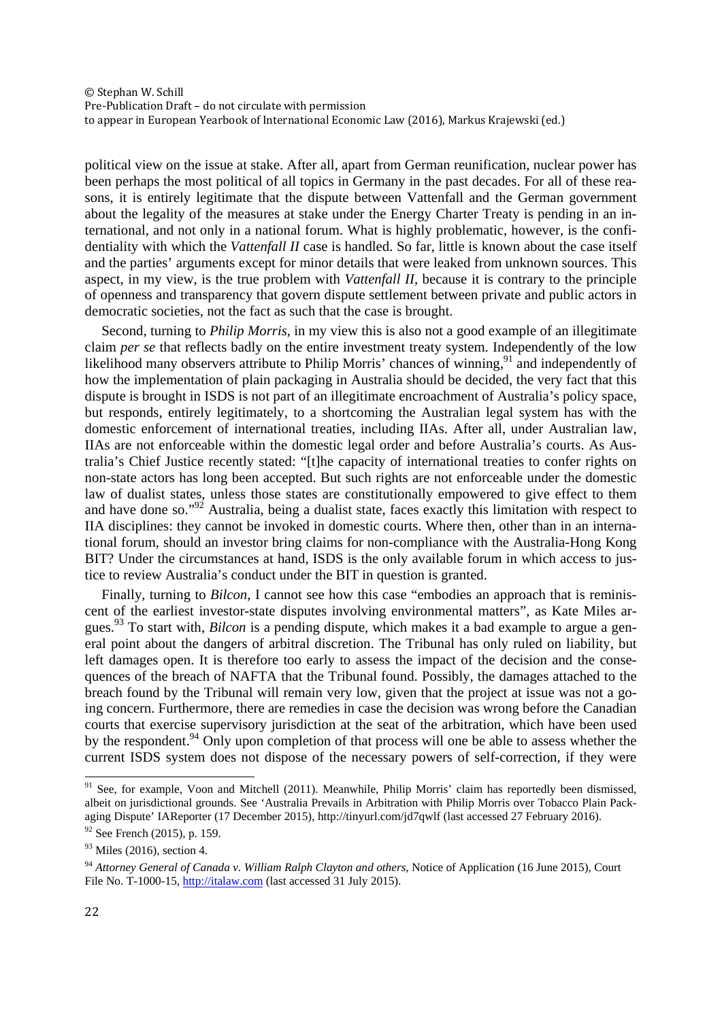political view on the issue at stake. After all, apart from German reunification, nuclear power has been perhaps the most political of all topics in Germany in the past decades. For all of these reasons, it is entirely legitimate that the dispute between Vattenfall and the German government about the legality of the measures at stake under the Energy Charter Treaty is pending in an international, and not only in a national forum. What is highly problematic, however, is the confidentiality with which the *Vattenfall II* case is handled. So far, little is known about the case itself and the parties' arguments except for minor details that were leaked from unknown sources. This aspect, in my view, is the true problem with *Vattenfall II*, because it is contrary to the principle of openness and transparency that govern dispute settlement between private and public actors in democratic societies, not the fact as such that the case is brought.

Second, turning to *Philip Morris*, in my view this is also not a good example of an illegitimate claim *per se* that reflects badly on the entire investment treaty system. Independently of the low likelihood many observers attribute to Philip Morris' chances of winning,<sup>91</sup> and independently of how the implementation of plain packaging in Australia should be decided, the very fact that this dispute is brought in ISDS is not part of an illegitimate encroachment of Australia's policy space, but responds, entirely legitimately, to a shortcoming the Australian legal system has with the domestic enforcement of international treaties, including IIAs. After all, under Australian law, IIAs are not enforceable within the domestic legal order and before Australia's courts. As Australia's Chief Justice recently stated: "[t]he capacity of international treaties to confer rights on non-state actors has long been accepted. But such rights are not enforceable under the domestic law of dualist states, unless those states are constitutionally empowered to give effect to them and have done so."<sup>92</sup> Australia, being a dualist state, faces exactly this limitation with respect to IIA disciplines: they cannot be invoked in domestic courts. Where then, other than in an international forum, should an investor bring claims for non-compliance with the Australia-Hong Kong BIT? Under the circumstances at hand, ISDS is the only available forum in which access to justice to review Australia's conduct under the BIT in question is granted.

Finally, turning to *Bilcon*, I cannot see how this case "embodies an approach that is reminiscent of the earliest investor-state disputes involving environmental matters", as Kate Miles argues.93 To start with, *Bilcon* is a pending dispute, which makes it a bad example to argue a general point about the dangers of arbitral discretion. The Tribunal has only ruled on liability, but left damages open. It is therefore too early to assess the impact of the decision and the consequences of the breach of NAFTA that the Tribunal found. Possibly, the damages attached to the breach found by the Tribunal will remain very low, given that the project at issue was not a going concern. Furthermore, there are remedies in case the decision was wrong before the Canadian courts that exercise supervisory jurisdiction at the seat of the arbitration, which have been used by the respondent.<sup>94</sup> Only upon completion of that process will one be able to assess whether the current ISDS system does not dispose of the necessary powers of self-correction, if they were

<sup>&</sup>lt;sup>91</sup> See, for example, Voon and Mitchell (2011). Meanwhile, Philip Morris' claim has reportedly been dismissed, albeit on jurisdictional grounds. See 'Australia Prevails in Arbitration with Philip Morris over Tobacco Plain Packaging Dispute' IAReporter (17 December 2015), http://tinyurl.com/jd7qwlf (last accessed 27 February 2016).

<sup>92</sup> See French (2015), p. 159.

 $93$  Miles (2016), section 4.

<sup>94</sup> *Attorney General of Canada v. William Ralph Clayton and others*, Notice of Application (16 June 2015), Court File No. T-1000-15, http://italaw.com (last accessed 31 July 2015).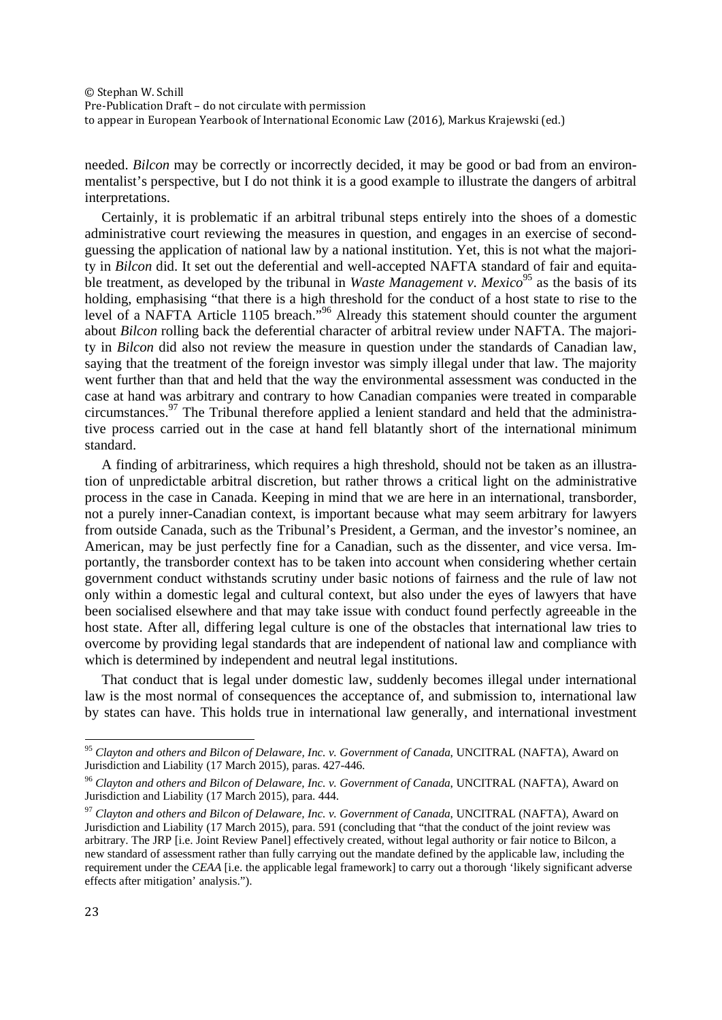needed. *Bilcon* may be correctly or incorrectly decided, it may be good or bad from an environmentalist's perspective, but I do not think it is a good example to illustrate the dangers of arbitral interpretations.

Certainly, it is problematic if an arbitral tribunal steps entirely into the shoes of a domestic administrative court reviewing the measures in question, and engages in an exercise of secondguessing the application of national law by a national institution. Yet, this is not what the majority in *Bilcon* did. It set out the deferential and well-accepted NAFTA standard of fair and equitable treatment, as developed by the tribunal in *Waste Management v. Mexico*<sup>95</sup> as the basis of its holding, emphasising "that there is a high threshold for the conduct of a host state to rise to the level of a NAFTA Article 1105 breach.<sup>"96</sup> Already this statement should counter the argument about *Bilcon* rolling back the deferential character of arbitral review under NAFTA. The majority in *Bilcon* did also not review the measure in question under the standards of Canadian law, saying that the treatment of the foreign investor was simply illegal under that law. The majority went further than that and held that the way the environmental assessment was conducted in the case at hand was arbitrary and contrary to how Canadian companies were treated in comparable circumstances. <sup>97</sup> The Tribunal therefore applied a lenient standard and held that the administrative process carried out in the case at hand fell blatantly short of the international minimum standard.

A finding of arbitrariness, which requires a high threshold, should not be taken as an illustration of unpredictable arbitral discretion, but rather throws a critical light on the administrative process in the case in Canada. Keeping in mind that we are here in an international, transborder, not a purely inner-Canadian context, is important because what may seem arbitrary for lawyers from outside Canada, such as the Tribunal's President, a German, and the investor's nominee, an American, may be just perfectly fine for a Canadian, such as the dissenter, and vice versa. Importantly, the transborder context has to be taken into account when considering whether certain government conduct withstands scrutiny under basic notions of fairness and the rule of law not only within a domestic legal and cultural context, but also under the eyes of lawyers that have been socialised elsewhere and that may take issue with conduct found perfectly agreeable in the host state. After all, differing legal culture is one of the obstacles that international law tries to overcome by providing legal standards that are independent of national law and compliance with which is determined by independent and neutral legal institutions.

That conduct that is legal under domestic law, suddenly becomes illegal under international law is the most normal of consequences the acceptance of, and submission to, international law by states can have. This holds true in international law generally, and international investment

<sup>95</sup> *Clayton and others and Bilcon of Delaware, Inc. v. Government of Canada*, UNCITRAL (NAFTA), Award on Jurisdiction and Liability (17 March 2015), paras. 427-446.

<sup>96</sup> *Clayton and others and Bilcon of Delaware, Inc. v. Government of Canada*, UNCITRAL (NAFTA), Award on Jurisdiction and Liability (17 March 2015), para. 444.

<sup>97</sup> *Clayton and others and Bilcon of Delaware, Inc. v. Government of Canada*, UNCITRAL (NAFTA), Award on Jurisdiction and Liability (17 March 2015), para. 591 (concluding that "that the conduct of the joint review was arbitrary. The JRP [i.e. Joint Review Panel] effectively created, without legal authority or fair notice to Bilcon, a new standard of assessment rather than fully carrying out the mandate defined by the applicable law, including the requirement under the *CEAA* [i.e. the applicable legal framework] to carry out a thorough 'likely significant adverse effects after mitigation' analysis.").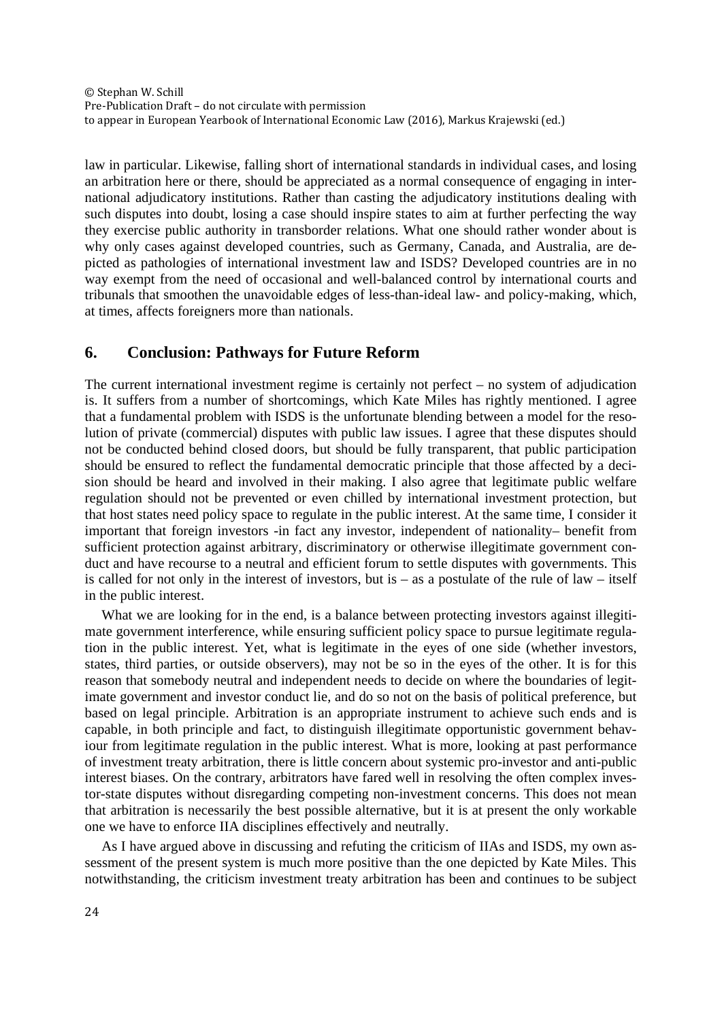law in particular. Likewise, falling short of international standards in individual cases, and losing an arbitration here or there, should be appreciated as a normal consequence of engaging in international adjudicatory institutions. Rather than casting the adjudicatory institutions dealing with such disputes into doubt, losing a case should inspire states to aim at further perfecting the way they exercise public authority in transborder relations. What one should rather wonder about is why only cases against developed countries, such as Germany, Canada, and Australia, are depicted as pathologies of international investment law and ISDS? Developed countries are in no way exempt from the need of occasional and well-balanced control by international courts and tribunals that smoothen the unavoidable edges of less-than-ideal law- and policy-making, which, at times, affects foreigners more than nationals.

### **6. Conclusion: Pathways for Future Reform**

The current international investment regime is certainly not perfect – no system of adjudication is. It suffers from a number of shortcomings, which Kate Miles has rightly mentioned. I agree that a fundamental problem with ISDS is the unfortunate blending between a model for the resolution of private (commercial) disputes with public law issues. I agree that these disputes should not be conducted behind closed doors, but should be fully transparent, that public participation should be ensured to reflect the fundamental democratic principle that those affected by a decision should be heard and involved in their making. I also agree that legitimate public welfare regulation should not be prevented or even chilled by international investment protection, but that host states need policy space to regulate in the public interest. At the same time, I consider it important that foreign investors -in fact any investor, independent of nationality– benefit from sufficient protection against arbitrary, discriminatory or otherwise illegitimate government conduct and have recourse to a neutral and efficient forum to settle disputes with governments. This is called for not only in the interest of investors, but is – as a postulate of the rule of law – itself in the public interest.

What we are looking for in the end, is a balance between protecting investors against illegitimate government interference, while ensuring sufficient policy space to pursue legitimate regulation in the public interest. Yet, what is legitimate in the eyes of one side (whether investors, states, third parties, or outside observers), may not be so in the eyes of the other. It is for this reason that somebody neutral and independent needs to decide on where the boundaries of legitimate government and investor conduct lie, and do so not on the basis of political preference, but based on legal principle. Arbitration is an appropriate instrument to achieve such ends and is capable, in both principle and fact, to distinguish illegitimate opportunistic government behaviour from legitimate regulation in the public interest. What is more, looking at past performance of investment treaty arbitration, there is little concern about systemic pro-investor and anti-public interest biases. On the contrary, arbitrators have fared well in resolving the often complex investor-state disputes without disregarding competing non-investment concerns. This does not mean that arbitration is necessarily the best possible alternative, but it is at present the only workable one we have to enforce IIA disciplines effectively and neutrally.

As I have argued above in discussing and refuting the criticism of IIAs and ISDS, my own assessment of the present system is much more positive than the one depicted by Kate Miles. This notwithstanding, the criticism investment treaty arbitration has been and continues to be subject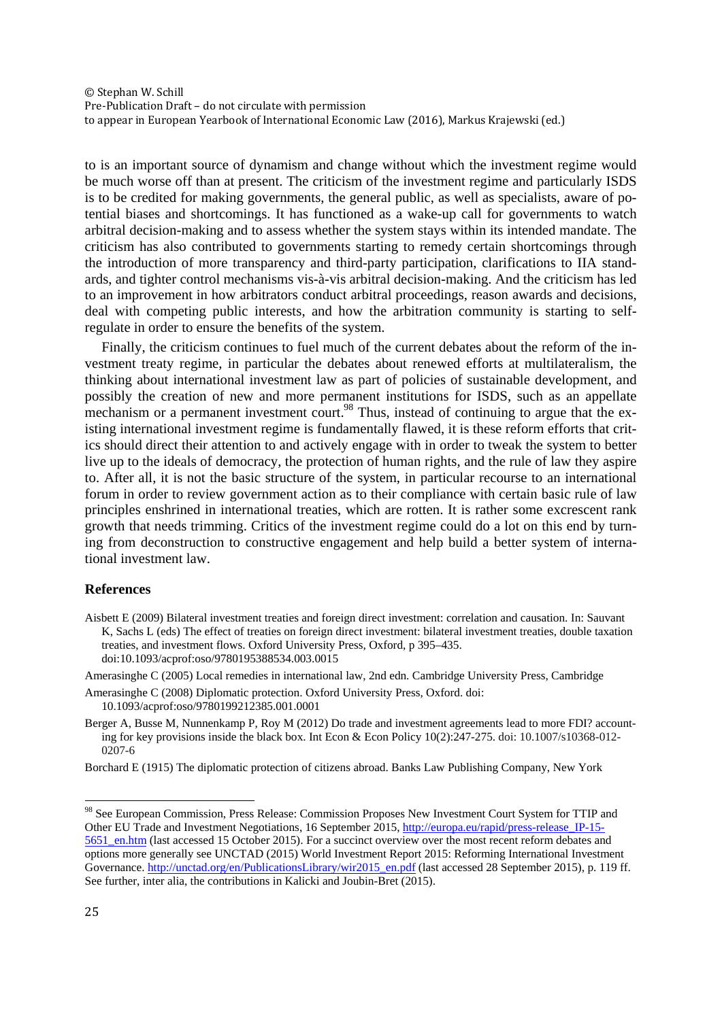to is an important source of dynamism and change without which the investment regime would be much worse off than at present. The criticism of the investment regime and particularly ISDS is to be credited for making governments, the general public, as well as specialists, aware of potential biases and shortcomings. It has functioned as a wake-up call for governments to watch arbitral decision-making and to assess whether the system stays within its intended mandate. The criticism has also contributed to governments starting to remedy certain shortcomings through the introduction of more transparency and third-party participation, clarifications to IIA standards, and tighter control mechanisms vis-à-vis arbitral decision-making. And the criticism has led to an improvement in how arbitrators conduct arbitral proceedings, reason awards and decisions, deal with competing public interests, and how the arbitration community is starting to selfregulate in order to ensure the benefits of the system.

Finally, the criticism continues to fuel much of the current debates about the reform of the investment treaty regime, in particular the debates about renewed efforts at multilateralism, the thinking about international investment law as part of policies of sustainable development, and possibly the creation of new and more permanent institutions for ISDS, such as an appellate mechanism or a permanent investment court.<sup>98</sup> Thus, instead of continuing to argue that the existing international investment regime is fundamentally flawed, it is these reform efforts that critics should direct their attention to and actively engage with in order to tweak the system to better live up to the ideals of democracy, the protection of human rights, and the rule of law they aspire to. After all, it is not the basic structure of the system, in particular recourse to an international forum in order to review government action as to their compliance with certain basic rule of law principles enshrined in international treaties, which are rotten. It is rather some excrescent rank growth that needs trimming. Critics of the investment regime could do a lot on this end by turning from deconstruction to constructive engagement and help build a better system of international investment law.

#### **References**

- Aisbett E (2009) Bilateral investment treaties and foreign direct investment: correlation and causation. In: Sauvant K, Sachs L (eds) The effect of treaties on foreign direct investment: bilateral investment treaties, double taxation treaties, and investment flows. Oxford University Press, Oxford, p 395–435. doi:10.1093/acprof:oso/9780195388534.003.0015
- Amerasinghe C (2005) Local remedies in international law, 2nd edn. Cambridge University Press, Cambridge Amerasinghe C (2008) Diplomatic protection. Oxford University Press, Oxford. doi:

10.1093/acprof:oso/9780199212385.001.0001

 

Berger A, Busse M, Nunnenkamp P, Roy M (2012) Do trade and investment agreements lead to more FDI? accounting for key provisions inside the black box. Int Econ & Econ Policy 10(2):247-275. doi: 10.1007/s10368-012- 0207-6

Borchard E (1915) The diplomatic protection of citizens abroad. Banks Law Publishing Company, New York

<sup>98</sup> See European Commission, Press Release: Commission Proposes New Investment Court System for TTIP and Other EU Trade and Investment Negotiations, 16 September 2015, http://europa.eu/rapid/press-release\_IP-15- 5651\_en.htm (last accessed 15 October 2015). For a succinct overview over the most recent reform debates and options more generally see UNCTAD (2015) World Investment Report 2015: Reforming International Investment Governance. http://unctad.org/en/PublicationsLibrary/wir2015\_en.pdf (last accessed 28 September 2015), p. 119 ff. See further, inter alia, the contributions in Kalicki and Joubin-Bret (2015).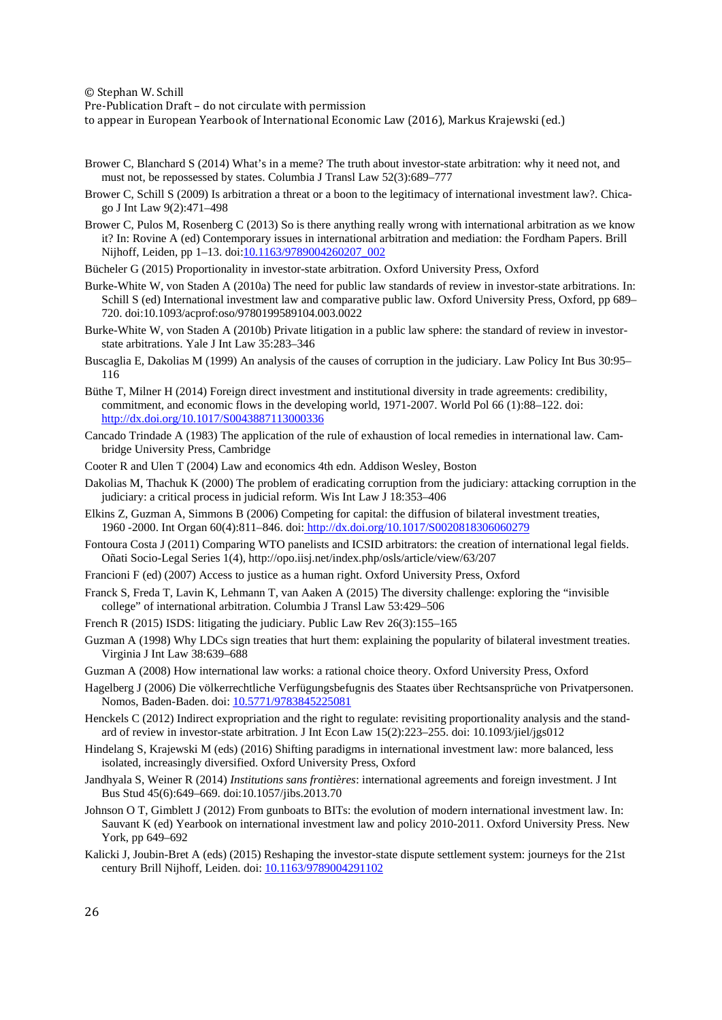© Stephan W. Schill 

Pre-Publication Draft - do not circulate with permission

to appear in European Yearbook of International Economic Law (2016), Markus Krajewski (ed.)

- Brower C, Blanchard S (2014) What's in a meme? The truth about investor-state arbitration: why it need not, and must not, be repossessed by states. Columbia J Transl Law 52(3):689–777
- Brower C, Schill S (2009) Is arbitration a threat or a boon to the legitimacy of international investment law?. Chicago J Int Law 9(2):471–498
- Brower C, Pulos M, Rosenberg C (2013) So is there anything really wrong with international arbitration as we know it? In: Rovine A (ed) Contemporary issues in international arbitration and mediation: the Fordham Papers. Brill Nijhoff, Leiden, pp 1-13. doi:10.1163/9789004260207\_002
- Bücheler G (2015) Proportionality in investor-state arbitration. Oxford University Press, Oxford
- Burke-White W, von Staden A (2010a) The need for public law standards of review in investor-state arbitrations. In: Schill S (ed) International investment law and comparative public law. Oxford University Press, Oxford, pp 689– 720. doi:10.1093/acprof:oso/9780199589104.003.0022
- Burke-White W, von Staden A (2010b) Private litigation in a public law sphere: the standard of review in investorstate arbitrations. Yale J Int Law 35:283–346
- Buscaglia E, Dakolias M (1999) An analysis of the causes of corruption in the judiciary. Law Policy Int Bus 30:95– 116
- Büthe T, Milner H (2014) Foreign direct investment and institutional diversity in trade agreements: credibility, commitment, and economic flows in the developing world, 1971-2007. World Pol 66 (1):88–122. doi: http://dx.doi.org/10.1017/S0043887113000336
- Cancado Trindade A (1983) The application of the rule of exhaustion of local remedies in international law. Cambridge University Press, Cambridge
- Cooter R and Ulen T (2004) Law and economics 4th edn. Addison Wesley, Boston
- Dakolias M, Thachuk K (2000) The problem of eradicating corruption from the judiciary: attacking corruption in the judiciary: a critical process in judicial reform. Wis Int Law J 18:353–406
- Elkins Z, Guzman A, Simmons B (2006) Competing for capital: the diffusion of bilateral investment treaties, 1960 -2000. Int Organ 60(4):811–846. doi: http://dx.doi.org/10.1017/S0020818306060279
- Fontoura Costa J (2011) Comparing WTO panelists and ICSID arbitrators: the creation of international legal fields. Oñati Socio-Legal Series 1(4), http://opo.iisj.net/index.php/osls/article/view/63/207
- Francioni F (ed) (2007) Access to justice as a human right. Oxford University Press, Oxford
- Franck S, Freda T, Lavin K, Lehmann T, van Aaken A (2015) The diversity challenge: exploring the "invisible college" of international arbitration. Columbia J Transl Law 53:429–506
- French R (2015) ISDS: litigating the judiciary. Public Law Rev 26(3):155–165
- Guzman A (1998) Why LDCs sign treaties that hurt them: explaining the popularity of bilateral investment treaties. Virginia J Int Law 38:639–688
- Guzman A (2008) How international law works: a rational choice theory. Oxford University Press, Oxford
- Hagelberg J (2006) Die völkerrechtliche Verfügungsbefugnis des Staates über Rechtsansprüche von Privatpersonen. Nomos, Baden-Baden. doi: 10.5771/9783845225081
- Henckels C (2012) Indirect expropriation and the right to regulate: revisiting proportionality analysis and the standard of review in investor-state arbitration. J Int Econ Law 15(2):223–255. doi: 10.1093/jiel/jgs012
- Hindelang S, Krajewski M (eds) (2016) Shifting paradigms in international investment law: more balanced, less isolated, increasingly diversified. Oxford University Press, Oxford
- Jandhyala S, Weiner R (2014) *Institutions sans frontières*: international agreements and foreign investment. J Int Bus Stud 45(6):649–669. doi:10.1057/jibs.2013.70
- Johnson O T, Gimblett J (2012) From gunboats to BITs: the evolution of modern international investment law. In: Sauvant K (ed) Yearbook on international investment law and policy 2010-2011. Oxford University Press. New York, pp 649–692
- Kalicki J, Joubin-Bret A (eds) (2015) Reshaping the investor-state dispute settlement system: journeys for the 21st century Brill Nijhoff, Leiden. doi: 10.1163/9789004291102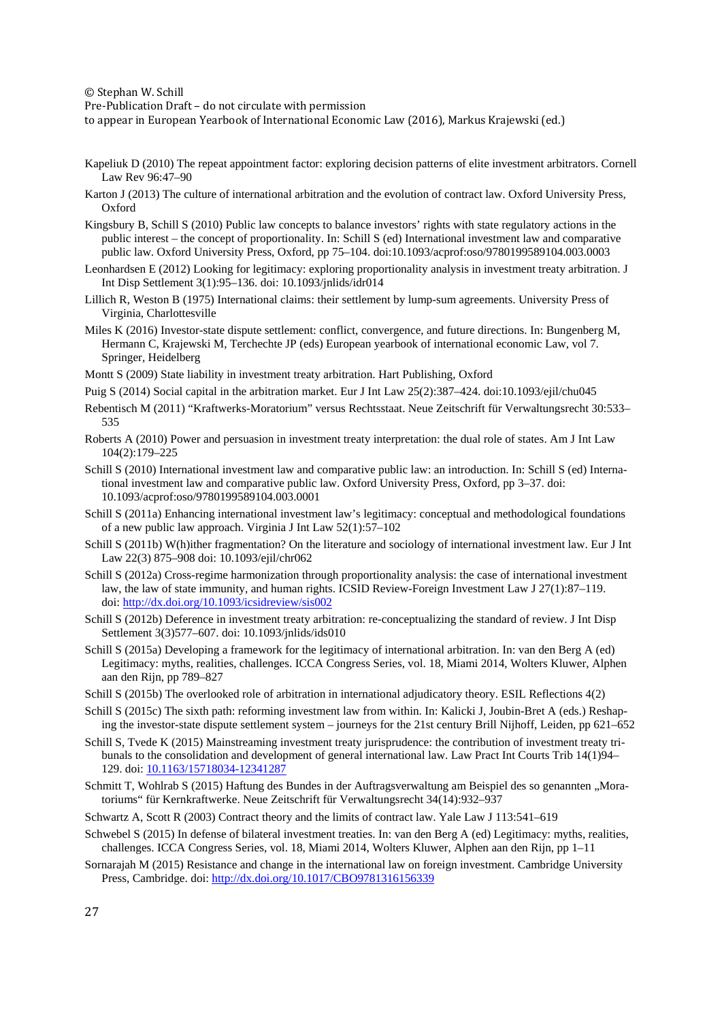© Stephan W. Schill 

Pre-Publication Draft - do not circulate with permission

to appear in European Yearbook of International Economic Law (2016), Markus Krajewski (ed.)

- Kapeliuk D (2010) The repeat appointment factor: exploring decision patterns of elite investment arbitrators. Cornell Law Rev 96:47–90
- Karton J (2013) The culture of international arbitration and the evolution of contract law. Oxford University Press, Oxford
- Kingsbury B, Schill S (2010) Public law concepts to balance investors' rights with state regulatory actions in the public interest – the concept of proportionality. In: Schill S (ed) International investment law and comparative public law. Oxford University Press, Oxford, pp 75–104. doi:10.1093/acprof:oso/9780199589104.003.0003
- Leonhardsen E (2012) Looking for legitimacy: exploring proportionality analysis in investment treaty arbitration. J Int Disp Settlement 3(1):95–136. doi: 10.1093/jnlids/idr014
- Lillich R, Weston B (1975) International claims: their settlement by lump-sum agreements. University Press of Virginia, Charlottesville
- Miles K (2016) Investor-state dispute settlement: conflict, convergence, and future directions. In: Bungenberg M, Hermann C, Krajewski M, Terchechte JP (eds) European yearbook of international economic Law, vol 7. Springer, Heidelberg
- Montt S (2009) State liability in investment treaty arbitration. Hart Publishing, Oxford
- Puig S (2014) Social capital in the arbitration market. Eur J Int Law 25(2):387–424. doi:10.1093/ejil/chu045
- Rebentisch M (2011) "Kraftwerks-Moratorium" versus Rechtsstaat. Neue Zeitschrift für Verwaltungsrecht 30:533– 535
- Roberts A (2010) Power and persuasion in investment treaty interpretation: the dual role of states. Am J Int Law 104(2):179–225
- Schill S (2010) International investment law and comparative public law: an introduction. In: Schill S (ed) International investment law and comparative public law. Oxford University Press, Oxford, pp 3–37. doi: 10.1093/acprof:oso/9780199589104.003.0001
- Schill S (2011a) Enhancing international investment law's legitimacy: conceptual and methodological foundations of a new public law approach. Virginia J Int Law 52(1):57–102
- Schill S (2011b) W(h)ither fragmentation? On the literature and sociology of international investment law. Eur J Int Law 22(3) 875–908 doi: 10.1093/ejil/chr062
- Schill S (2012a) Cross-regime harmonization through proportionality analysis: the case of international investment law, the law of state immunity, and human rights. ICSID Review-Foreign Investment Law J 27(1):87–119. doi: http://dx.doi.org/10.1093/icsidreview/sis002
- Schill S (2012b) Deference in investment treaty arbitration: re-conceptualizing the standard of review. J Int Disp Settlement 3(3)577–607. doi: 10.1093/jnlids/ids010
- Schill S (2015a) Developing a framework for the legitimacy of international arbitration. In: van den Berg A (ed) Legitimacy: myths, realities, challenges. ICCA Congress Series, vol. 18, Miami 2014, Wolters Kluwer, Alphen aan den Rijn, pp 789–827
- Schill S (2015b) The overlooked role of arbitration in international adjudicatory theory. ESIL Reflections 4(2)
- Schill S (2015c) The sixth path: reforming investment law from within. In: Kalicki J, Joubin-Bret A (eds.) Reshaping the investor-state dispute settlement system – journeys for the 21st century Brill Nijhoff, Leiden, pp 621–652
- Schill S, Tvede K (2015) Mainstreaming investment treaty jurisprudence: the contribution of investment treaty tribunals to the consolidation and development of general international law. Law Pract Int Courts Trib 14(1)94– 129. doi: 10.1163/15718034-12341287
- Schmitt T, Wohlrab S (2015) Haftung des Bundes in der Auftragsverwaltung am Beispiel des so genannten "Moratoriums" für Kernkraftwerke. Neue Zeitschrift für Verwaltungsrecht 34(14):932–937
- Schwartz A, Scott R (2003) Contract theory and the limits of contract law. Yale Law J 113:541–619
- Schwebel S (2015) In defense of bilateral investment treaties. In: van den Berg A (ed) Legitimacy: myths, realities, challenges. ICCA Congress Series, vol. 18, Miami 2014, Wolters Kluwer, Alphen aan den Rijn, pp 1–11
- Sornarajah M (2015) Resistance and change in the international law on foreign investment. Cambridge University Press, Cambridge. doi: http://dx.doi.org/10.1017/CBO9781316156339